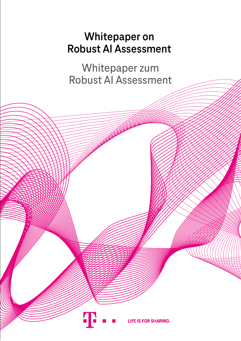### **Whitepaper on Robust AI Assessment**

Whitepaper zum Robust AI Assessment



4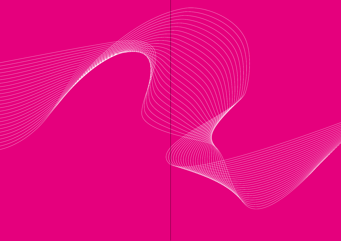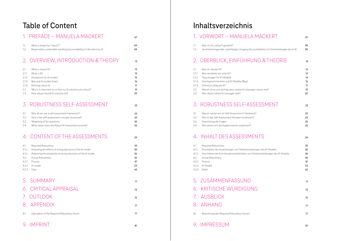### [1. VORWORT – MANUELA MACKERT](#page-3-0)

- 1.1. [Was ist mit "robust" gemeint?](#page-4-0)
- 1.2. [Verantwortungsvoller, nachhaltiger Umgang \(Accountability\) mit Entscheidungen durch KI](#page-4-0)

- 2.1. [Was ist robuste KI?](#page-6-0)
- 2.1.1. [Was verstehen wir unter KI?](#page-6-0)
- 2.1.2. [Täuschungen für KI-Modelle](#page-7-0)
- 2.1.3. [Voreingenommenheit und KI-Modelle \(Bias\)](#page-8-0)
- 2.1.4. Definition "Robuste Kl"
- 2.2. Warum ist es uns wichtig, dass unsere KI-Lösungen rol
- 2.3. [Wie robust sollten KI-Lösungen sein?](#page-10-0)

### [3. ROBUSTNESS SELF-ASSESSMENT](#page-11-0)

- 3.1. [Warum nutzen wir ein Self-Assessment Framework?](#page-11-0)
- 3.2. [Wie ist das Self-Assessment-Konzept strukturiert?](#page-12-0)
- 3.3. [Gewichtung der Fragen](#page-12-0)
- 3.4. [Wie setzen sich die Ergebniswerte zusammen?](#page-13-0)

### 4. [INHALT DES ASSESSMENTS](#page-14-0)

- 4.1. [Required Robustness](#page-14-0)
- 4.1.1. Einschätzen der Auswirkungen von Fehlentscheidung
- 412. Einschätzen der Eintrittswahrscheinlichkeit von Fehle
- 4.2. [Actual Robustness](#page-23-0)
- 4.2.1. [Prozess](#page-23-0)
- 4.2.2. [KI-Modell](#page-26-0)
- 4.2.3. [Daten](#page-31-0)
- 5. [ZUSAMMENFASSUNG](#page-35-0)
- 6. [KRITISCHE WÜRDIGUNG](#page-36-0)
- [7. AUSBLICK](#page-37-0)
- 8. [ANHANG](#page-38-0)
- 8.1. [Berechnung des Required Robustness Scores](#page-38-0)
- 9. [IMPRESSUM](#page-40-0)

### [1. PREFACE − MANUELA MACKERT](#page-3-0)

### [2. ÜBERBLICK, EINFÜHRUNG & THEORIE](#page-6-0) [13](#page-6-0)

2.3. [How robust should AI solutions be?](#page-10-0)

### [3. ROBUSTNESS SELF-ASSESSMENT](#page-11-0)

| 3.1. | Why do we use a self-assessment framework?         |
|------|----------------------------------------------------|
| 3.2. | How is the self-assessment concept structured?     |
|      | 3.3. Weighting of the questions                    |
| 3.4. | What values does the Robust AI Assessment provide? |

| 1.1.   | What is meant by "robust"?                                            | 09 |
|--------|-----------------------------------------------------------------------|----|
| 1.2.   | Responsible, sustainable handling (accountability) of decisions by Al | 09 |
|        |                                                                       |    |
|        | 2. OVERVIEW, INTRODUCTION & THEORY                                    | 13 |
| 2.1.   | What is robust Al?                                                    | 13 |
| 2.1.1. | What is Al?                                                           | 13 |
| 2.1.2. | Deceptions for AI models                                              | 14 |
| 2.1.3. | Bias and AI models (bias)                                             | 16 |
| 2.1.4. | Defining robust Al                                                    | 17 |
| 2.2.   | Why is it important to us that our AI solutions are robust?           | 19 |
| 2.3.   | How robust should AI solutions be?                                    | 20 |

### 4. [CONTENT OF THE ASSESSMENTS](#page-14-0)

|             | 4.1. Required Robustness                                     |
|-------------|--------------------------------------------------------------|
| 4.1.1.      | Assessing the effects of wrong decisions of the AI model     |
| 4.1.2.      | Assessing the probability of wrong decisions of the AI model |
|             | 4.2. Actual Robustness                                       |
| 4.2.1.      | <b>Process</b>                                               |
|             | 4.2.2. Al model                                              |
| 4.2.3. Data |                                                              |
|             |                                                              |

### 5. [SUMMARY](#page-35-0)

| 6. CRITICAL APPRAISAI |
|-----------------------|
| 7. OUTLOOK            |

8. [APPENDIX](#page-38-0)

8.1. [Calculation of the Required Robustness Score](#page-38-0)

9. [IMPRINT](#page-40-0)

## Table of Content Table of Content Content Content Content Content Content Content Content Content Content Conte

[09](#page-4-0) [09](#page-4-0)

[07](#page-3-0)

[23](#page-11-0)

[29](#page-14-0)

|            | 13 |
|------------|----|
|            | 13 |
|            | 14 |
|            | 16 |
|            | 17 |
| bust sind? | 19 |
|            | 20 |

| 23 |
|----|
| 24 |
| 25 |
| 26 |

|                              | 29 |
|------------------------------|----|
| en des KI-Modells            | 30 |
| ntscheidungen des KI-Modells | 36 |

[71](#page-35-0)

[73](#page-36-0)

[75](#page-37-0)

[77](#page-38-0)

[77](#page-38-0)

[07](#page-3-0)

[23](#page-11-0)

[29](#page-14-0)

[71](#page-35-0)

[73](#page-36-0)

[75](#page-37-0)

[77](#page-38-0)

[77](#page-38-0)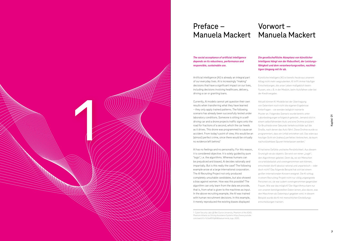<span id="page-3-0"></span>

### Vorwort – Manuela Mackert Manuela Mackert

# Preface –

*Die gesellschaftliche Akzeptanz von künstlicher Intelligenz hängt von der Robustheit, der Leistungs fähigkeit und dem verantwortungsvollen, nachhal tigen Umgang mit ihr ab.*

Künstliche Intelligenz (KI) ist bereits heute aus unserem Alltag nicht mehr wegzudenken. KI trifft immer häufiger Entscheidungen, die unser Leben maßgeblich beein flussen, wie z. B. in der Medizin, beim Autofahren oder bei der Kreditvergabe.

Aktuell können KI-Modelle bei der Übertragung von Gelerntem noch nicht die eigenen Ergebnisse hinterfragen – sie wenden lediglich trainierte Muster an. Folgendes Szenario wurde bereits unter Laborbedingungen erfolgreich getestet. Jemand sitzt in einem selbstfahrenden Auto und eine Drohne projiziert für Bruchteile einer Sekunde Verkehrsschilder auf die Straße, nach denen das Auto fährt. Diese Drohne wurde so programmiert, dass ein Unfall entstehen soll. Das wäre aus heutiger Sicht ein (nahezu) perfektes Verbrechen, da kaum nachvollziehbare Spuren hinterlassen werden. 1

KI hat keine Gefühle und keine Persönlichkeit. Aus diesem Grund gilt sie als objektiv. Sie wird von reiner "Logik", den Algorithmen geleitet. Denn da, wo wir Menschen vorurteilsbelastet und voreingenommen sein können, entscheidet die KI absolut rational und unparteiisch – oder doch nicht? Das folgende Beispiel hat sich bei einem großen internationalen Konzern ereignet. Die KI schlug in einem Recruiting-Projekt nicht nur völlig ungeeignete Personen vor, sie war zudem voreingenommen gegenüber Frauen. Wie war das möglich? Der Algorithmus kann nur von unseren bereitgestellten Daten lernen, also davon, was den Maschinen als Dateninput gegeben wird. In diesem Beispiel wurde die KI mit menschlichen Einstellungsentscheidungen trainiert.

### *The social acceptance of artificial intelligence depends on its robustness, performance and responsible, sustainable use.*

Artificial intelligence (AI) is already an integral part of our everyday lives. AI is increasingly "making" decisions that have a significant impact on our lives, including decisions involving healthcare, delivery, driving a car or granting loans.

Currently, AI models cannot yet question their own results when transferring what they have learned − they only apply trained patterns. The following scenario has already been successfully tested under laboratory conditions. Someone is sitting in a selfdriving car and a drone projects traffic signs onto the road for fractions of a second, which the car heeds as it drives. This drone was programmed to cause an accident. From today's point of view, this would be an (almost) perfect crime, since there would be virtually no evidence left behind. 1

AI has no feelings and no personality. For this reason, it is considered objective. It is solely guided by pure "logic", i.e. the algorithms. Whereas humans can be prejudiced and biased, AI decides rationally and impartially. But is this really the case? The following example arose at a large international corporation. The *AI Recruiting* Project not only produced completely unsuitable candidates, but also showed a bias against women. How was this possible? The algorithm can only learn from the data we provide, that is, from what is given to the machines as input. In the above recruiting example, the AI was trained with human recruitment decisions. In this example, it merely reproduced the existing biases displayed

1 Cyber Security Labs @ Ben Gurion University, Phantom of the ADAS: [Phantom Attacks on Driving Assistance Systems https://www.youtube.](https://www.youtube.com/watch?v=1cSw4fXYqWI&feature=emb_logo) com/watch?v=1cSw4fXYqWI&feature=emb\_logo. 2020.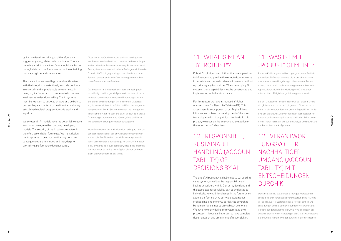Diese waren natürlich vorbelastet durch Voreingenommenheiten, welche die KI reproduzierte und so nur junge, weiße, männliche Personen vorschlug. Es besteht also die Gefahr, dass wir unsere individuelle Befangenheit über die Daten in die Trainingsgrundlagen der künstlichen Intelligenzen bringen und so darüber Voreingenommenheit sowie Stereotype manifestieren.

Das bedeutet im Umkehrschluss, dass wir hochgradig zuverlässige und integre KI-Systeme brauchen, die in unsicheren sowie unvorhersehbaren Umgebungen zeitnah und sicher Entscheidungen treffen können. Dabei gilt es, die menschlichen Schwächen bei Entscheidungen zu kompensieren. Die KI-Systeme müssen resistent gegen zielgerichtete Angriffe sein und dafür gebaut sein, große Datenmengen verarbeiten zu können, ohne etablierte zivilisatorische Errungenschaften aufzugeben.

Wenn Schwachstellen in KI-Modellen vorliegen, kann das Schadenspotenzial für das entwickelnde Unternehmen enorm sein. Die Sicherheit des KI-Softwaresystems ist somit essenziell für die zukünftige Nutzung. Wir müssen die KI-Systeme so robust gestalten, dass diese enormen Konsequenzen so gering wie möglich bleiben und trotz allem die Performance nicht leidet.

### 1.1. WAS IST MIT "ROBUST" GEMEINT?

<span id="page-4-0"></span>by human decision-making, and therefore only suggested young, white, male candidates. There is therefore a risk that we transfer our individual biases through data into the fundamentals of the AI training, thus causing bias and stereotypes.

This means that we need highly reliable AI systems with the integrity to make timely and safe decisions in uncertain and unpredictable environments. In doing so, it is important to compensate for human weaknesses in decision-making. The AI systems must be resistant to targeted attacks and be built to process large amounts of data without abandoning established societal progress towards equity and equality.

Weaknesses in AI models have the potential to cause enormous damage to the company developing models. The security of the AI software system is therefore essential for future use. We must design the AI systems to be robust so that any negative consequences are minimized and that, despite everything, performance does not suffer.

Robuste KI-Lösungen sind Lösungen, die unempfindlich gegenüber Einflüssen sind und die in unsicheren sowie unvorhersehbaren Umgebungen die erwartete Performance bieten und dabei die Voreingenommenheit nicht reproduzieren. Bei der Entwicklung von KI-Systemen müssen diese Fähigkeiten gezielt umgesetzt werden.

Bei der Deutschen Telekom haben wir aus diesem Grund ein "Robust AI Assessment" eingeführt. Dieses Assessment ist ein weiterer Baustein unserer Digital Ethics Initiative, um die Entwicklung von neuesten Technologien mit unseren ethischen Ansprüchen zu verbinden. Mit diesem Projekt fokussieren wir uns auf die Analyse und Bewertung der Robustheit von KI-Systemen.

1.2. VERANTWOR-TUNGSVOLLER, NACHHALTIGER UMGANG (ACCOUN-TABILITY) MIT ENTSCHEIDUNGEN DURCH KI

Der Einsatz von KI stellt unser bisheriges Wertesystem sowie die damit verbundene Verantwortung und Haftung vor ganz neue Herausforderungen. Aktuell können Entscheidungen und die damit verbundene Verantwortung Personen zugerechnet werden. Wie wird sich das in der Zukunft ändern, wenn Handlungen die KI-Softwaresysteme durchführen, nicht mehr oder nur zum Teil von Menschen

### 1.1. WHAT IS MEANT BY "ROBUST"?

Robust AI solutions are solutions that are impervious to influences and provide the expected performance in uncertain and unpredictable environments, without reproducing any human bias. When developing AI systems, these capabilities must be constructed and implemented with the utmost care.

For this reason, we have introduced a "Robust AI Assessment" at Deutsche Telekom (DT). This assessment is a component of our Digital Ethics Initiative to combine the development of the latest technologies with strong ethical standards. In this project, we focus on the analysis and evaluation of the robustness of AI systems.

### 1.2. RESPONSIBLE, SUSTAINABLE HANDLING (ACCOUN-TABILITY) OF DECISIONS BY AI

The use of AI poses novel challenges to our existing value system, as well as the responsibility and liability associated with it. Currently, decisions and the associated responsibility can be attributed to individuals. How will this change in the future, when actions performed by AI software systems can or should no longer or only partially be controlled by humans? AI cannot be only a black box for us. We have to clearly define the systems and their processes. It is equally important to have complete documentation and assignment of responsibility.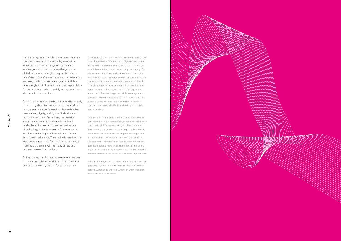

kontrolliert werden können oder sollen? Die KI darf für uns keine Blackbox sein. Wir müssen die Systeme und deren Prozesse klar definieren. Ebenso wichtig ist eine lückenlose Dokumentation und Verantwortungszuordnung. Der Mensch muss bei Mensch-Maschine-Interaktionen die Möglichkeit haben, zu intervenieren oder aber ein System per Notausschalter anzuhalten oder zu unterbrechen. Es kann vieles digitalisiert oder automatisiert werden, aber Verantwortung gehört nicht dazu. Tag für Tag werden immer mehr Entscheidungen von KI-Softwaresystemen getroffen und somit delegiert, das heißt aber nicht, dass auch die Verantwortung für die getroffenen Entscheidungen – auch mögliche Fehlentscheidungen – bei den Maschinen liegt.

Mit dem Thema "Robust AI Assessment" möchten wir der gesellschaftlichen Verantwortung im digitalen Zeitalter gerecht werden und unseren Kundinnen und Kunden eine vertrauensvolle Basis bieten.

Digitale Transformation ist ganzheitlich zu verstehen. Es geht nicht nur um die Technologie, sondern vor allem auch darum, wie wir *Ethical Leadership*, d. h. Führung unter Berücksichtigung von Wertvorstellungen und der Würde und Rechte von Individuen und Gruppen befähigen und hieraus nachhaltiges Geschäft generiert werden kann. Die sogenannten intelligenten Technologien werden auf absehbare Zeit die menschliche (emotionale) Intelligenz ergänzen. Es geht um die Mensch-Maschine-Partnerschaft mit allen ethischen und business-relevanten Implikationen.

Human beings must be able to intervene in humanmachine interactions. For example, we must be able to stop or interrupt a system by means of an emergency stop switch. Many things can be digitalized or automated, but responsibility is not one of them. Day after day, more and more decisions are being made by AI software systems and thus delegated, but this does not mean that responsibility for the decisions made − possibly wrong decisions − also lies with the machines.

Digital transformation is to be understood holistically. It is not only about technology, but above all about how we enable *ethical leadership* − leadership that takes values, dignity, and rights of individuals and groups into account. From there, the question is then how to generate sustainable business guided by ethical leadership and innovative use of technology. In the foreseeable future, so-called intelligent technologies will complement human (emotional) intelligence. The emphasis here is on the word complement – we foresee a complex humanmachine partnership, with its many ethical and business-relevant implications.

By introducing the "Robust AI Assessment," we want to transform social responsibility in the digital age and be a trustworthy partner for our customers.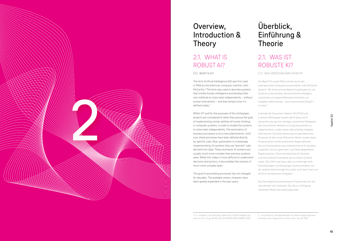<span id="page-6-0"></span>

### 2.1. WAS IST ROBUSTE KI?

2.1.1. WAS VERSTEHEN WIR UNTER KI?

Der Begriff KI wurde 1956 erstmals durch den amerikanischen Computerwissenschaftler John McCarthy bekannt. 2 Bis heute wird die Bezeichnung KI genutzt, um Systeme zu beschreiben, die menschliche Intelligenz nachahmen und eigene Methoden entwickeln, um Aufgaben selbstständig – ohne menschlichen Eingriff – zu lösen. 3

## Überblick, Einführung & **Theorie**

Innerhalb der Deutschen Telekom AG (DTAG) und in diesem Whitepaper werden alle Projekte als KI betrachtet, die das Ziel verfolgen, bestimmte Fähigkeiten des menschlichen Denkens in Computersystemen zu implementieren, sodass diese selbstständig Aufgaben lösen können. Die Automatisierung von geschäftlichen Prozessen ist kein neues Phänomen. Bisher wurden diese Prozesse direkt mittels bestimmter Regeln definiert. Nun wird Automatisierung zunehmend durch KI-Systeme umgesetzt, die auf "gelernten", aus Daten abgeleiteten Regeln basieren. Diese stochastischen KI-Systeme sind meist deutlich komplexer als es frühere Systeme waren. Dies führt zwar dazu, dass es schwieriger wird, Entscheidungen und Handlungen nachzuvollziehen, auf der anderen Seite ermöglicht es aber auch das Lösen von deutlich komplexeren Aufgaben.

Das Ziel möglichst automatisierter Prozesse hat sich seit Jahrzehnten nicht verändert. Nur die zur Verfügung stehenden Mittel sind andere geworden.

### Overview, Introduction & Theory

### 2.1. WHAT IS ROBUST AI?

### 2.1.1. WHAT IS AI?

The term Artificial Intelligence (AI) was first used in 1956 by the American computer scientist John McCarthy.<sup>2</sup> The term was used to describe systems that imitate human intelligence and develop their own methods to solve tasks independently – without human intervention – and that remains how it is defined today. 3

Within DT and for the purposes of this whitepaper, projects are considered AI when they pursue the goal of implementing certain abilities of human thinking in computer systems, in order to enable the systems to solve tasks independently. The automation of business processes is not a new phenomenon. Until now, these processes have been defined directly by specific rules. Now, automation is increasingly implemented by AI systems that use "learned" rules derived from data. These stochastic AI systems are usually much more complex than previous systems were. While this makes it more difficult to understand decisions and actions, it also enables the solution of much more complex tasks.

The goal of automating processes has not changed for decades. The available means, however, have been greatly expanded in the past years.

2 S. L. Andresen, "John McCarthy: father of AI," in IEEE Intelligent Systems, vol. 17, no. 5, pp. 84-85. DOI: 10.1109/MIS.2002.1039837. 2002.

3 Lucas, Bruce D., and Takeo Kanade. "An iterative image registration technique with an application to stereo vision." pp. 674. 1981.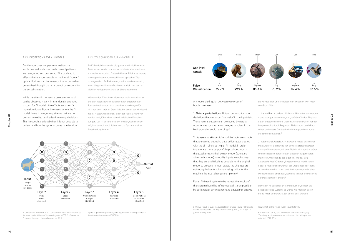#### 2.1.2. TÄUSCHUNGEN FÜR KI-MODELLE

Ein KI-Model nimmt nicht die gesamte Wirklichkeit wahr. Stattdessen werden nur vorher trainierte Muster erkannt und weiterverarbeitet. Dadurch können Effekte auftreten, die vergleichbar mit "menschlichen" optischen Täuschungen sind. Ein Phänomen, das immer dann auftritt, wenn die generalisierten Denkmuster nicht mit der tatsächlich vorliegenden Situation übereinstimmen.

Während der Effekt beim Menschen meist unkritisch ist und sich hauptsächlich bei absichtlich angeordneten Formen beobachten lässt, sind die Auswirkungen für KI-Modelle oft größer. Grenzfälle, bei denen das KI-Modell meint, Muster zu erkennen, die in der Realität nicht vorhanden sind, führen hier schnell zu falschen Entscheidungen. Das ist besonders dann kritisch, wenn es nicht möglich ist nachzuvollziehen, wie das System zu einer Entscheidung kommt. 4

#### <span id="page-7-0"></span>2.1.2. DECEPTIONS FOR AI MODELS

1. Natural perturbations: *Natural perturbations* are deviations that can occur "naturally" in the input data. These natural patterns can be caused by natural occurrences such as rain on images or noises in the background of audio recordings.<sup>5</sup>

An AI model does not perceive reality as a whole. Instead, only previously trained patterns are recognized and processed. This can lead to effects that are comparable to traditional "human" optical illusions − a phenomenon that occurs when generalized thought patterns do not correspond to the actual situation.

While the effect in humans is usually minor and can be observed mainly in intentionally arranged shapes, for AI models, the effects are often far more significant. Borderline cases, where the AI model thinks it recognizes patterns that are not present in reality, quickly lead to wrong decisions. This is especially critical when it is not possible to understand how the system comes to a decision.4

> 2. Adversarial Attack: Als *Adversarial Attack* bezeichnet man Angriffe, die mithilfe von bewusst erstellten Daten durchgeführt werden, mit dem Ziel ein KI-Modell zu stören. Um diese gezielt hergestellten Eingaben zu generieren, trainieren Angreifende das eigene KI-Modell (*sog. Adversarial Model*) darauf, Eingaben so zu modifizieren, dass sie möglichst schwer für das ursprüngliche Modell zu verarbeiten sind. Meist sind die Änderungen für einen Menschen nicht erkennbar, während sich für die Maschine der Input komplett ändert.<sup>6</sup>

AI models distinguish between two types of borderline cases:



2. Adversarial attack: *Adversarial attacks* are attacks that are carried out using data deliberately created with the aim of disrupting an AI model. In order to generate these purposefully produced inputs, the attacker trains their own AI model (so-called adversarial model) to modify inputs in such a way that they are as difficult as possible for the original model to process. In most cases, the changes are not recognizable for a human being, while for the machine the input changes completely.6

5 Ozdag, Mesut, et al. On the Susceptibility of Deep Neural Networks to (United States). 2019. Natural Perturbations. Oak Ridge National Lab. (ORNL), Oak Ridge, TN

6 Goodfellow, Ian J., Jonathon Shlens, and Christian Szegedy. "Explaining and harnessing adversarial examples." arXiv preprint arXiv:1412.6572. 2014.

For an AI-based system to be robust, the results of the system should be influenced as little as possible by both *natural perturbations* and *adversarial attacks*.

Natural Perturbations. Oak Ridge National Lab. (ORNL), Oak Ridge, TN

Bei KI-Modellen unterscheidet man zwischen zwei Arten von Grenzfällen:

1. Natural Perturbations: Als *Natural Perturbations* werden Abweichungen bezeichnet, die "natürlich" in den Eingabedaten entstehen können. Diese natürlichen Muster können beispielsweise durch Regen auf Bildern oder durch Rauschen und andere Geräusche im Hintergrund von Audioaufnahmen entstehen.5

Damit ein KI-basiertes System robust ist, sollten die Ergebnisse des Systems so wenig wie möglich durch beide Arten von Grenzfällen beeinflusst werden.



Figure: https://www.quantamagazine.org/machine-learning-confrontsthe-elephant-in-the-room-20180920

4 Gomez-Villa, Alexander, et al. "Convolutional neural networks can be deceived by visual illusions." Proceedings of the IEEE Conference on Computer Vision and Pattern Recognition. 2019.

Figure: Prof. Dr. Ing. Marco Huber, Frauenhofer IPA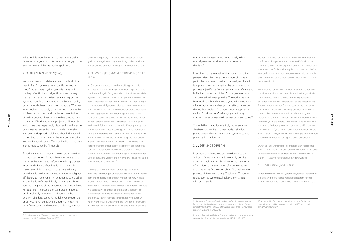Ob es wichtiger ist, auf natürliche Einflüsse oder zielgerichtete Angriffe zu reagieren, hängt dabei stark vom Einsatzumfeld und dem jeweiligen Anwendungsfall ab.

### 2.1.3. VOREINGENOMMENHEIT UND KI-MODELLE (BIAS)

Im Gegensatz zu klassischen Entwicklungsmethoden wird das Ergebnis eines KI-Systems nicht explizit anhand bestimmter Regeln festgeschrieben. Stattdessen wird das System mithilfe von Optimierungsalgorithmen so trainiert, dass Gesetzmäßigkeiten innerhalb einer Datenbasis abgebildet werden. KI-Systeme bilden also nicht automatisch die Wirklichkeit ab, sondern modellieren lediglich anhand einer vorgegebenen Datengrundlage. Ob eine KI-Entscheidung dabei tatsächlich in der Wirklichkeit begründet ist oder einer falschen oder verzerrten Darstellung der Wirklichkeit folgt, hängt stark von der Datengrundlage ab, die für das Training des Modells genutzt wird. Der Grund für diskriminierende oder vorverurteilende KI-Modelle, die immer wieder thematisiert werden, liegt also keinesfalls in den KI-Modellen selbst. Gesellschaftlich verbreitete Voreingenommenheit beeinflusst aber oft die Datenerhebung bei Stichproben oder die Interpretation und führt so zu einer vorbelasteten Datengrundlage. Die implizit in den Daten enthaltene Voreingenommenheit wird also nur durch die KI-Modelle reproduziert.7

In contrast to classical development methods, the result of an AI system is not explicitly defined by specific rules. Instead, the system is trained with the help of optimization algorithms in such a way that regularities within a database are mapped. AI systems therefore do not automatically map reality, but only model based on a given database. Whether an AI decision is actually based on reality, or whether it follows an incorrect or distorted representation of reality, depends heavily on the data used to train the model. Discriminatory or prejudicial AI models, which have been repeatedly discussed, are therefore by no means caused by the AI models themselves. However, widespread social bias often influences the data collection in samples or the interpretation; this leads to biased datasets. The bias implicit in the data is thus reproduced by AI models.<sup>7</sup>

> Trainingsdaten sollten daher unbedingt gründlich auf mögliche Verzerrungen überprüft werden, damit diese vor dem Trainingsprozess behoben werden können. Wichtig ist, dass Voreingenommenheit oft implizit in den Daten enthalten ist. Es reicht nicht, ethisch fragwürdige Attribute wie beispielsweise Ethnie oder Religionszugehörigkeit zu entfernen, da diese oft über eine Kombination von anderen, zunächst harmlos scheinenden Attributen wie Alter, Wohnort und Kreditwürdigkeit wieder rekonstruiert werden können. So ist es beispielsweise möglich, dass die

**16 17**  $\frac{1}{2}$  **17**  $\frac{1}{2}$  **17**  $\frac{1}{2}$  **17**  $\frac{1}{2}$  **17**  $\frac{1}{2}$  **17**  $\frac{1}{2}$  **17**  $\frac{1}{2}$  **17**  $\frac{1}{2}$  **17**  $\frac{1}{2}$  **17**  $\frac{1}{2}$  **17**  $\frac{1}{2}$  **17**  $\frac{1}{2}$  **17**  $\frac{1}{2}$  **17**  $\frac{1}{2}$  **17** To reduce bias in AI models, training data should be thoroughly checked for possible distortions so that these can be eliminated before the training process. Importantly, bias is often implicit in the data. In many cases, it is not enough to remove ethically questionable attributes such as ethnicity or religious affiliation, as these can often be reconstructed using a combination of other, initially harmless attributes such as age, place of residence and creditworthiness. For example, it is possible that a person's national origin indirectly has a strong influence on the decision of a data-based AI model, even though the origin was never explicitly included in the training data. To exclude discrimination of this kind, fairness

<span id="page-8-0"></span>Whether it is more important to react to natural influences or targeted attacks depends strongly on the environment and the respective application.

#### 2.1.3. BIAS AND AI MODELS (BIAS)

In der Informatik werden Systeme als "robust" bezeichnet, die trotz widriger Bedingungen fehlertolerant funktionieren. Während bei diesem übergeordneten Begriff oft

metrics can be used to technically analyze how ethically relevant attributes are represented in the data.<sup>8</sup>

7 Du, Mengnan, et al. "Fairness in deep learning: A computational perspective." IEEE Intelligent Systems. 2020.

Herkunft einer Person indirekt einen starken Einfluss auf die Entscheidung eines datenbasierten KI-Modells hat, obwohl die Herkunft nie explizit in den Trainingsdaten enthalten war. Um Diskriminierung dieser Art auszuschließen, können Fairness-Metriken genutzt werden, die technisch analysieren, wie ethisch-relevante Attribute in den Daten vertreten sind.8

Zusätzlich zu der Analyse der Trainingsdaten sollten auch die Muster analysiert werden, die beschreiben, weshalb das KI-Modell sich für ein bestimmtes Ergebnis entscheidet. Hier gilt es zu überprüfen, ob die Entscheidungsfindung unter ethischen Gesichtspunkten vertretbar ist und die moralischen Grundprinzipien erfüllt. Um dies zu untersuchen, kann eine Vielzahl an Methoden genutzt werden. Die Optionen reichen von herkömmlichen Sensitivitätsanalysen, die untersuchen, welche Auswirkung eine bestimmte Änderung eines Attributs auf die Entscheidung des Modells hat<sup>9</sup>, bis hin zu moderneren Ansätzen wie die SHAP-Values-Analyse, welche die Wichtigkeit der Attribute über eine Methode aus der Spieltheorie bewertet.10

Durch das Zusammenspiel einer tatsächlich repräsentativen Datenbasis und einem verifizierten, robusten Modellverhalten können Vorverurteilung und Diskriminierung durch KI-Systeme nachhaltig verhindert werden.

### 2.1.4. DEFINITION "ROBUSTE KI"

In addition to the analysis of the training data, the patterns describing why the AI model chooses a particular outcome should also be analyzed. Here it is important to check whether the decision-making process is justifiable from an ethical point of view and fulfils basic moral principles. A variety of methods can be used to investigate this. The options range from traditional sensitivity analyses, which examine what effect a certain change in an attribute has on the model's decision<sup>9</sup>, to more modern approaches such as SHAP-Values-Analysis, a game theory method that evaluates the importance of attributes.10

Through the interaction of a truly representative database and verified, robust model behavior, prejudice and discrimination by AI systems can be prevented in the long term.

#### 2.1.4. DEFINING ROBUST AI

discovery and data mining. 2016. The contract of the contract of the contract of the contract of the contract of

In computer science, systems are described as "robust" if they function fault-tolerantly despite adverse conditions. While this superordinate term often refers to the prevention of system crashes and thus to the failure rate, robust AI considers the process of decision-making. Traditional IT security topics such as system availability are only dealt with peripherally.

 $\frac{9}{10}$  Fermion Clérot. Raphael,  $\frac{1}{10}$  methodology to explain neural neural neural neural neural neural neural neural neural neural neural neural neural neural neural neural neural neural neural neural neural neur dings of the 22nd ACM SIGKDD international conference on knowledge 8 Hajian, Sara, Francesco Bonchi, and Carlos Castillo. "Algorithmic bias: From discrimination discovery to fairness-aware data mining." Proceediscovery and data mining. 2016.

<sup>9</sup> Féraud, Raphael, and Fabrice Clérot. "A methodology to explain neural network classification." Neural networks pp. 237-246. 15.2.2002.

<sup>10</sup> Antwarg, Liat, Bracha Shapira, and Lior Rokach. "Explaining anomalies detected by autoencoders using SHAP." arXiv preprint arXiv:1903.02407. 2019.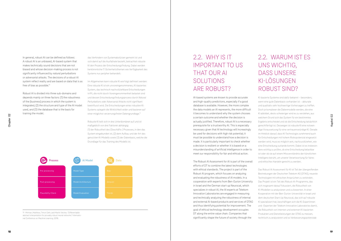<span id="page-9-0"></span>In general, robust AI can be defined as follows: A robust AI is an unbiased, AI-based system that makes technically sound decisions that are not biased and whose decision-making process is not significantly influenced by *natural perturbations*  or *adversarial attacks.* [The decisions of a robust AI](#page-7-0)  system reflect reality and are based on data that is as free of bias as possible.<sup>11</sup>

Robust AI is divided into three sub-domains and depends mainly on three factors: (1) the robustness of the (business) process in which the system is integrated, (2) the structure and type of the AI model used, and (3) the database that is the basis for training the model.

das Verhindern von Systemabstürzen gemeint ist und sich damit auf die Ausfallrate bezieht, betrachtet robuste KI den Prozess der Entscheidungsfindung. Dabei werden herkömmliche IT-Sicherheitsthemen wie Verfügbarkeit des Systems nur peripher behandelt.

Im Allgemeinen kann robuste KI wie folgt definiert werden: Eine robuste KI ist ein unvoreingenommenes, KI-basiertes System, das technisch nachvollziehbare Entscheidungen trifft, die nicht durch Voreingenommenheit belastet sind [und dessen Entscheidungsfindungsprozess durch](#page-7-0) *Natural Perturbations oder Adversarial Attacks nicht sign*ifikant beeinflusst wird. Die Entscheidungen eines robusten KI-Systems spiegeln die Wirklichkeit wider und basieren auf einer möglichst verzerrungsfreien Datengrundlage.11

Robuste KI teilt sich in drei Unterdomänen auf und ist maßgeblich von drei Faktoren abhängig: (1) der Robustheit des (Geschäfts-) Prozesses, in den das System eingebunden ist, (2) dem Aufbau und der Art des genutzten KI-Modells sowie (3) der Datenbasis, welche die Grundlage für das Training des Modells ist.

### 2.2. WARUM IST ES UNS WICHTIG, DASS UNSERE KI-LÖSUNGEN ROBUST SIND?

KI-basierte Systeme sind dafür bekannt – besonders, wenn eine gute Datenbasis vorhanden ist – akkurate und qualitativ sehr hochwertige Vorhersagen zu treffen. Doch je komplexer die Datenmodelle werden, die eine KI abbildet, desto schwieriger wird es zu verstehen, aus welchem Grund sich das System für ein bestimmtes Ergebnis entscheidet und ob die Entscheidung tatsächlich gerechtfertigt ist. Deswegen ist robuste KI eine notwendige Voraussetzung für eine vertrauenswürdige KI. Gerade im Hinblick darauf, dass KI-Technologie zunehmend auch für Entscheidungen mit hohem Risikopotenzial eingesetzt werden wird, muss es möglich sein, nachzuvollziehen, wie eine Entscheidung zustande kommt. Dabei ist es insbesondere wichtig zu prüfen, ob eine Entscheidung belastbar ist oder ob sie auf einem Missverständnis der künstlichen Intelligenz beruht, um unserer Verantwortung für faires und ethisches Handeln gerecht zu werden.



Das Robust AI Assessment für KI ist Teil der übergreifenden Bestrebungen der Deutschen Telekom AG (DTAG), neueste Technologien mit ethischen Ansprüchen zu verbinden. Das Projekt ist ein Teil des Robust-AI-Programms, das sich insgesamt darauf fokussiert, die Robustheit von KI-Modellen zu analysieren und zu bewerten. In einer Kooperation mit der Ben-Gurion-Universität in Israel und dem deutschen Start-Up Neurocat, das sich auf robuste KI spezialisiert hat, beschäftigen sich die KI-Expertinnen und -Experten der Telekom Innovation Laboratories damit, die Robustheit von internen und externen KI-basierten Produkten und Dienstleistungen der DTAG zu messen, technisch zu analysieren und so Verbesserungspotenziale

### 2.2. WHY IS IT IMPORTANT TO US THAT OUR AI SOLUTIONS ARE ROBUST?

AI-based systems are known to provide accurate and high-quality predictions, especially if a good database is available. However, the more complex the data models an AI represents, the more difficult it becomes to understand why the system chooses a certain outcome and whether the decision is actually justified. Therefore, robust AI is a necessary prerequisite for a trustworthy AI. This is especially necessary given that AI technology will increasingly be used for decisions with high risk potential; it must be possible to understand how a decision is made. It is particularly important to check whether a decision is resilient or whether it is based on a misunderstanding of artificial intelligence in order to meet our responsibility for fair and ethical action.

The Robust AI Assessment for AI is part of the overall efforts of DT to combine the latest technologies with ethical standards. The project is part of the Robust AI program, which focuses on analyzing and evaluating the robustness of AI models. In a cooperation with experts from Ben-Gurion University in Israel and the German start-up Neurocat, which specializes in robust AI, the AI experts at Telekom Innovation Laboratories are engaged in measuring and technically analyzing the robustness of internal and external AI-based products and services of DTAG and thus identifying potential for improvement. The goal of ethical technology development occupies DT along the entire value chain. Companies that significantly shape the future of society through the

11 Mirman, Matthew, Timon Gehr, and Martin Vechev. "Differentiable abstract interpretation for provably robust neural networks." International Conference on Machine Learning. 2018.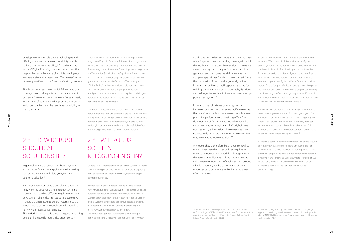zu identifizieren. Das Ziel ethischer Technologieentwicklung beschäftigt die Deutsche Telekom über die gesamte Wertschöpfungskette hinweg. Unternehmen, die durch die Entwicklung neuer, disruptiver Technologien und Angebote die Zukunft der Gesellschaft maßgeblich prägen, tragen eine immense Verantwortung. Um dieser Verantwortung gerecht zu werden, hat die Deutsche Telekom eigene "Digital Ethics" Leitlinien entwickelt, die den verantwortungsvollen und ethischen Umgang mit künstlicher Intelligenz thematisieren und selbstverpflichtende Regeln aufstellen. *[Die ausführliche Version dieser Leitlinien ist auf](https://www.telekom.com/resource/blob/544510/ca70d6697d35ba60fbcb29aeef4529e8/dl-181008-digitale-ethik-en-data.pdf)  [der Konzernwebseite zu finden.](https://www.telekom.com/resource/blob/544510/ca70d6697d35ba60fbcb29aeef4529e8/dl-181008-digitale-ethik-en-data.pdf)*

Das Robust AI Assessment, das die Deutsche Telekom dafür nutzen möchte, um ethische Aspekte in den Entwicklungsprozess neuer KI-Systeme einzubinden, fügt sich also nahtlos in eine Reihe von Ansätzen ein, die eine Zukunft fördern, in der Unternehmen ihrer gesellschaftlichen Verantwortung im digitalen Zeitalter gerecht werden.

**<sup>20</sup> <sup>21</sup>**Kapitel <sup>02</sup> Chapter <sup>02</sup> Wie robust ein System tatsächlich sein sollte, ist stark vom Anwendungsfall abhängig. Ein intelligenter Getränkeautomat hat natürlich andere Anforderungen als ein KI-System einer kritischen Infrastruktur. KI-Modelle werden oft als Systeme eingesetzt, die darauf spezialisiert sind, eine bestimmte komplexe Aufgabe in einem eng definierten Anwendungsbereich zu erledigen. Die zugrundeliegenden Datenmodelle sind sehr gut darin, spezifische Gesetzmäßigkeiten unter bestimmten

### 2.3. WIE ROBUST SOLLTEN KI-LÖSUNGEN SEIN?

Generell gilt: Je robuster ein KI-basiertes System ist, desto besser. Doch gibt es einen Punkt, an dem die Steigerung der Robustheit nicht mehr weiterhilft, vielleicht sogar kontraproduktiv ist?

<span id="page-10-0"></span>development of new, disruptive technologies and offerings bear an immense responsibility. In order to live up to this responsibility, DT has developed its own "Digital Ethics" guidelines that address the responsible and ethical use of artificial intelligence and establish self-imposed rules. *[The detailed version](https://www.telekom.com/resource/blob/544510/ca70d6697d35ba60fbcb29aeef4529e8/dl-181008-digitale-ethik-en-data.pdf)  [of these guidelines can be found on the Group website.](https://www.telekom.com/resource/blob/544510/ca70d6697d35ba60fbcb29aeef4529e8/dl-181008-digitale-ethik-en-data.pdf)*

The Robust AI Assessment, which DT wants to use to integrate ethical aspects into the development process of new AI systems, therefore fits seamlessly into a series of approaches that promote a future in which companies meet their social responsibility in the digital age.

### 2.3. HOW ROBUST SHOULD AI SOLUTIONS BE?

In general, the more robust an AI-based system is, the better. But is there a point where increasing robustness is no longer helpful, maybe even counterproductive?

Allgemein wird die Robustheit eines KI-Systems mithilfe von gezielt angewendeten Maßnahmen gesteigert. Das Entwickeln von weiteren Maßnahmen zur Steigerung der Robustheit verursacht einen hohen Aufwand, der aber keinen Mehrwert schafft. Mehr Maßnahmen als nötig machen das Modell nicht robuster, sondern können sogar zu schlechteren Entscheidungen führen.<sup>13</sup>

How robust a system should actually be depends heavily on the application. An intelligent vending machine naturally has different requirements than an AI system of a critical infrastructure system. AI models are often used as expert systems that are specialized to perform a certain complex task in a narrowly defined application area.

The underlying data models are very good at deriving and learning specific regularities under certain

conditions from a data set. Increasing the robustness of an AI system means extending the range in which the model can make plausible decisions. In extreme cases, the AI system changes from an expert to a generalist and thus loses the ability to solve the complex, special task for which it was trained. Since the complexity of the model is generally limited, for example, by the computing power required for training and the amount of data available, decisions can no longer be made with the same nuance as by a pure expert system.12

In general, the robustness of an AI system is increased by means of use case-specific measures that are often a tradeoff between model robustness, predictive performance and training effort. The development of further measures to increase the robustness causes a high level of effort, but does not create any added value. More measures than necessary do not make the model more robust but may even lead to worse decisions.13

AI models should therefore be, at best, somewhat more robust than their intended use requires in order to compensate for possible misjudgments in the assessment. However, it is not recommended to increase the robustness of such a system beyond what is necessary, as the performance of the AI model tends to deteriorate while the development effort increases.

12 Valiant, Leslie G. "Knowledge infusion: In pursuit of robustness in artificial intelligence." IARCS Annual Conference on Foundations of Software Technology and Theoretical Computer Science. Schloss Dagstuhl-Leibniz-Zentrum für Informatik. 2008.

Bedingungen aus einer Datengrundlage abzuleiten und zu lernen. Wenn man die Robustheit eines KI-Systems steigert, bedeutet dies, den Bereich zu erweitern, in dem das Modell plausible Entscheidungen treffen kann. Im Extremfall wandelt sich das KI-System dabei vom Experten zum Generalisten und verliert damit die Fähigkeit, die komplexe, spezielle Aufgabe zu lösen, für die es trainiert wurde. Da die Komplexität des Modells generell beispielsweise durch die benötigte Rechenleistung für das Training und die verfügbare Datenmenge begrenzt ist, können die Entscheidungen nicht mehr so nuanciert getroffen werden, wie es ein reines Expertensystem könnte.12

KI-Modelle sollten deswegen im besten Fall etwas robuster sein als ihr Einsatzzweck erfordert, um eventuelle Fehleinschätzungen bei der Beurteilung auszugleichen. Es ist aber nicht empfehlenswert, die Robustheit eines solchen Systems in großem Maße über die Anforderungen hinaus zu steigern, da dabei tendenziell die Performance des KI-Modells nachlässt, obwohl der Entwicklungsaufwand steigt.

<sup>13</sup> Anderson, Greg, et al. "Optimization and abstraction: A synergistic approach for analyzing neural network robustness." Proceedings of the 40th ACM SIGPLAN Conference on Programming Language Design and Implementation. 2019.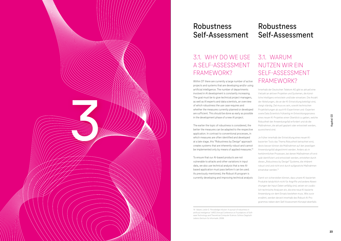<span id="page-11-0"></span>

## NUTZEN WIR EIN SELF-ASSESSMENT FRAMEWORK?

Innerhalb der Deutschen Telekom AG gibt es aktuell eine Vielzahl an aktiven Projekten und Systemen, die künst liche Intelligenz entwickeln und/oder einsetzen. Die Anzahl der Abteilungen, die an der KI-Entwicklung beteiligt sind, steigt ständig. Ziel muss es sein, sowohl technischen Projektleitungen als auch KI-Expertinnen und -Experten sowie Data Scientists frühzeitig im Entwicklungsprozess eines neuen KI-Projektes einen Überblick zu geben, welche Robustheit der Anwendungsfall erfordert und ob die Maßnahmen, die aktuell geplant oder entwickelt werden, ausreichend sind.

### 3.1. WARUM 3.1. WHY DO WE USE A SELF-ASSESSMENT FRAMEWORK?

Je früher innerhalb der Entwicklung eines neuen KIbasierten Tools das Thema Robustheit betrachtet wird, desto besser können die Maßnahmen auf den jeweiligen Anwendungsfall abgestimmt werden. Anders als in herkömmlichen Prozessen, bei denen Maßnahmen oft erst spät identifiziert und entwickelt werden, entstehen durch dieses "Robustness by Design" Systeme, die inhärent robust sind und nicht erst durch aufgesetzte Maßnahmen einsetzbar werden.14

The earlier the topic of robustness is considered, the better the measures can be adapted to the respective application. In contrast to conventional processes, in which measures are often identified and developed at a late stage, this "Robustness by Design" approach creates systems that are inherently robust and cannot be implemented only by means of applied measures.<sup>14</sup>

> Damit wir sicherstellen können, dass unsere KI-basierten Produkte tatsächlich nicht für Angriffe und andere Abwei chungen der Input-Daten anfällig sind, setzen wir zusätz lich technische Analysen ein, die eine neue KI-basierte Anwendung vor dem Einsatz bestehen muss. Wie zuvor erwähnt, werden derzeit innerhalb des Robust-AI-Pro grammes neben dem Self-Assessment-Konzept ebenfalls

Within DT there are currently a large number of active projects and systems that are developing and/or using artificial intelligence. The number of departments involved in AI development is constantly increasing. The goal must be to give technical project managers, as well as AI experts and data scientists, an overview of which robustness the use case requires and whether the measures currently planned or developed are sufficient. This should be done as early as possible in the development phase of a new AI project.

To ensure that our AI-based products are not vulnerable to attacks and other variations in input data, we also use technical analysis that a new AIbased application must pass before it can be used. As previously mentioned, the Robust AI program is currently developing and improving technical analysis

### Robustness Self-Assessment

### Robustness Self-Assessment

<sup>14</sup> Valiant, Leslie G. "Knowledge infusion: In pursuit of robustness in artificial intelligence." IARCS Annual Conference on Foundations of Soft ware Technology and Theoretical Computer Science, Schloss Dagstuhl-Leibniz-Zentrum für Informatik. 2008.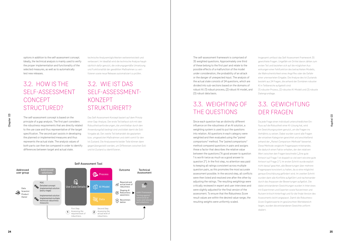<span id="page-12-0"></span>options in addition to the self-assessment concept. Ideally, the technical analysis is mainly used to verify the proper implementation and functionality of the selected measures, as well as to automatically test new releases.

### 3.2. HOW IS THE SELF-ASSESSMENT CONCEPT STRUCTURED?

The self-assessment concept is based on the principle of a gap analysis. The first part considers the robustness requirements that are directly related to the use case and thus representative of the target specification. The second part assists in developing the planned or implemented measures and thus represents the actual state. The analysis values of both parts can then be compared in order to identify differences between target and actual state.

Insgesamt umfasst das Self-Assessment Framework 35 gewichtete Fragen. Ungefähr ein Drittel davon zählen zum ersten Teil und beziehen sich auf die möglichen Auswirkungen einer Fehlfunktion des betrachteten Modells, die Wahrscheinlichkeit eines Angriffes oder die Gefahr einer unerwarteten Eingabe. Die Analyse des Ist-Zustands besteht aus 24 Fragen, die anhand der Domänen robuster KI in Teilbereiche aufgeteilt sind:

(1) robuster Prozess, (2) robustes KI-Modell und (3) robuste Datengrundlage.

### 3.3. GEWICHTUNG DER FRAGEN

Da jede Frage einen individuell unterschiedlichen Einfluss auf die Robustheit einer KI-Lösung hat, wird ein Gewichtungssystem genutzt, um die Fragen ins Verhältnis zu setzen. Dabei wurden zuerst alle Fragen der einzelnen Kategorien gewichtet und anschließend anhand der *"Paired-Comparison-Methode"* bewertet. Diese Methode vergleicht Fragenpaare miteinander, die dadurch einen Faktor erhalten, der den relativen Wert zwischen den Fragen beschreibt ("Eine gute Antwort auf Frage 1 ist doppelt so viel wert wie eine gute Antwort auf Frage 2."). Im ersten Schritt wurde explizit nicht darauf geachtet, alle Bewertungen über mehrere Fragenpaare konsistent zu halten, da so eine möglichst genaue Einschätzung gefördert wird. Im zweiten Schritt wurden dann alle Konflikte aufgeführt und nacheinander durch das Anpassen der Bewertungen aufgelöst. Die dabei entstandenen Gewichtungen wurden in Interviews mit Expertinnen und Experten sowie Nutzerinnen und Nutzern kritisch hinterfragt und für die finale Version des Assessments leicht angepasst. Damit die *Robustness-Score*-Ergebniswerte im gewünschten Wertebereich liegen, wurden die entstandenen Gewichte uniform skaliert.

The self-assessment framework is comprised of 35 weighted questions. Approximately one third of these belong to the first part and relate to the possible effects of a malfunction of the model under consideration, the probability of an attack or the danger of unexpected input. The analysis of the actual state consists of 24 questions, which are divided into sub-sections based on the domains of robust AI: (1) robust process, (2) robust AI model, and (3) robust data basis.

### 3.3. WEIGHTING OF THE QUESTIONS

Since each question has an distinctly different influence on the robustness of an AI solution, a weighting system is used to put the questions into relation. All questions in each category were weighted and then evaluated using the "*paired comparisons*" method. The "*paired comparisons"*  method compared questions in pairs and assigns these a factor that describes the relative value between the questions ("A good answer to question 1 is worth twice as much as a good answer to question 2"). In the first step, no attention was paid to keeping all ratings consistent across multiple question pairs, as this promotes the most accurate assessment possible. In the second step, all conflicts were then listed and resolved one after the other by adjusting the ratings. The resulting weightings were critically reviewed in expert and user interviews and were slightly adjusted for the final version of the assessment. To ensure that the *Robustness Score*  result values are within the desired value range, the resulting weights were uniformly scaled.

technische Analysemöglichkeiten weiterentwickelt und verbessert. Im Idealfall wird die technische Analyse hauptsächlich dafür genutzt, die ordnungsgemäße Umsetzung und Funktionalität der gewählten Maßnahmen zu verifizieren sowie neue Releases automatisiert zu prüfen.

### 3.2. WIE IST DAS SELF-ASSESSMENT-KONZEPT STRUKTURIERT?

Das Self-Assessment-Konzept basiert auf dem Prinzip einer Gap-Analyse. Der erste Teil befasst sich mit den Robustheitsanforderungen, die unmittelbar durch den Anwendungsfall bedingt sind und bildet damit die Soll-Vorgabe ab. Der zweite Teil behandelt die geplanten bzw. umgesetzten Maßnahmen und steht somit für den Ist-Zustand. Die Analysewerte beider Teile können dann gegenübergestellt werden, um Differenzen zwischen Sollund Ist-Zustand zu identifizieren.

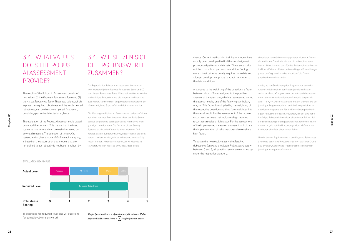simpelsten, am stärksten ausgeprägten Muster in Datensätzen finden. Das sind meistens nicht die robustesten Muster. Hinzu kommt, dass für das Finden robuster Muster im Normalfall mehr Daten und eine längere Entwicklungsphase benötigt wird, um das Modell auf die Datengegebenheiten einzustellen.

Analog zu der Gewichtung der Fragen wurde auch den Antwortmöglichkeiten der Fragen jeweils ein Faktor zwischen -1 und +2 zugewiesen, der während des Assessments durch eines der folgenden Symbole dargestellt wird: -, o, +, ++. Dieser Faktor wird mit der Gewichtung der jeweiligen Frage multipliziert und fließt so gewichtet in das Gesamtergebnis ein. Für die Einschätzung der benötigten Robustheit erhalten Antworten, die auf eine hohe benötigte Robustheit hinweisen einen hohen Faktor. Bei der Einschätzung der umgesetzten Maßnahmen erhalten Antworten, die auf die Umsetzung valider Maßnahmen hindeuten ebenfalls einen hohen Faktor.

Um die beiden Ergebniswerte – den *Required Robustness Score* und den *Actual Robustness Score* – zwischen 0 und 5 zu erhalten, werden alle Fragenergebnisse unter der jeweiligen Kategorie aufsummiert.

### 3.4. WIE SETZEN SICH DIE ERGEBNISWERTE ZUSAMMEN?

Das Ergebnis des Robust AI Assessments besteht aus zwei Werten: (1) dem *Required Robustness Score* und (2) dem *Actual Robustness Score*. Diese beiden Werte, welche die benötigte Robustheit und die umgesetzte Robustheit ausdrücken, können direkt gegenübergestellt werden. So können mögliche Gaps auf einen Blick erkannt werden.

Die Wertung des Robust AI Assessments basiert auf einem additiven Konzept. Dies bedeutet, dass der Basis-Score bei Null beginnt und durch jede valide Maßnahme leicht gesteigert werden kann. Die Auswahl dieses *Scoring Systems*, das in jeder Kategorie einen Wert von 0-5 vergibt, basiert auf der Annahme, dass Modelle, die nicht darauf trainiert wurden, robust zu handeln, nicht zufällig robust werden. Aktuelle Methoden, um KI-Modelle zu trainieren, wurden meist so entwickelt, dass sie die

### <span id="page-13-0"></span>3.4. WHAT VALUES DOES THE ROBUST AI ASSESSMENT PROVIDE?

The results of the Robust AI Assessment consist of two values: (1) the *Required Robustness Score* and (2) the *Actual Robustness Score*. These two values, which express the required robustness and the implemented robustness, can be directly compared. As a result, possible gaps can be detected at a glance.

The evaluation of the Robust AI Assessment is based on an additive concept. This means that the *basic score* starts at zero and can be easily increased by any valid measure. The selection of this *scoring system*, *which* gives a value of 0-5 in each category, is based on the assumption that models that are not trained to act robustly do not become robust by

chance. Current methods for training AI models have usually been developed to find the simplest, most pronounced patterns in data sets. These are usually not the most robust patterns. In addition, finding more robust patterns usually requires more data and a longer development phase to adapt the model to the data conditions.

Analogous to the weighting of the questions, a factor between -1 and +2 was assigned to the possible answers of the questions, which is represented during the assessment by one of the following symbols: -, o, +, ++. This factor is multiplied by the weighting of the respective question and thus flows weighted into the overall result. For the assessment of the required robustness, answers that indicate a high required robustness receive a high factor. For the assessment of the implemented measures, answers that indicate the implementation of valid measures also receive a high factor.

To obtain the two result values − the *Required Robustness Score* and the *Actual Robustness Score* − between 0 and 5, all question results are summed up under the respective category.

11 questions for required level and 24 questions for actual level were answered

Single Question Score =  $Question$  weight  $*$  Answer Value Required Robustness Score =  $\sum$  Single Question Score

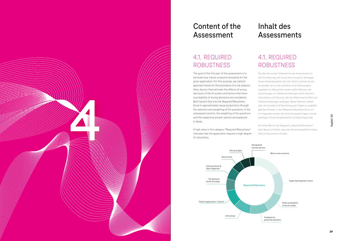<span id="page-14-0"></span>

### 4.1. REQUIRED ROBUSTNESS

Das Ziel des ersten Teilbereiches des Assessments ist die Einschätzung, wie robust eine Lösung für den gegebenen Anwendungsfall sein soll. Hierfür wird ein Ansatz verwendet, der an das Verfahren einer Risikoanalyse angelehnt ist. Betrachtet werden dafür Faktoren, die Auswirkungen von Fehlentscheidungen des KI-Systems einschätzen und Faktoren, die eine Wahrscheinlichkeit von Fehlentscheidungen aufzeigen. Beide Faktoren fließen über die Auswahl und Gewichtung der Fragen zu ungefähr gleichen Anteilen in den *Required Robustness Score* ein. Im Folgenden werden die Gewichtung der Fragen und die jeweiligen Antwortmöglichkeiten im Detail begründet.

Ein hoher Wert in der Kategorie *"Required Robustness"*  lässt darauf schließen, dass der Anwendungsfall ein hohes Maß an Robustheit erfordert.

### 4.1. REQUIRED ROBUSTNESS

The goal of the first part of the assessment is to estimate how robust a solution should be for the given application. For this purpose, we used an approach based on the procedure of a risk analysis. Here, factors that estimate the effects of wrong decisions of the AI system and factors that show a probability of wrong decisions are considered. Both factors flow into *the Required Robustness Score* in approximately equal proportions through the selection and weighting of the questions. In the subsequent section, the weighting of the questions and the respective answer options are explained in detail.

A high value in the category "Required Robustness" indicates that the application requires a high degree of robustness.

### Content of the Assessment

## Inhalt des Assessments

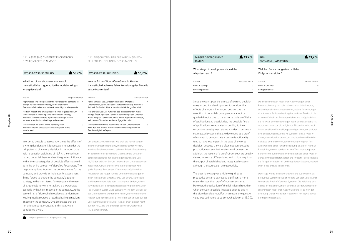Since the worst possible effects of a wrong decision rarely occur, it is also important to consider the effects of a more minor wrong decision. As the selection of potential consequences cannot be queried directly, due to the extreme variety of fields of application and possibilities, the possible fields of application are separated according to their respective development status in order to derive an estimate. AI systems that are developed as a *proofof-concept* to demonstrate a certain functionality tend to have less impact in the case of a wrong decision, because they are often not connected to production systems but to a test environment. In addition, the results of a proof-of-concept are usually viewed in a more differentiated and critical way than the output of established and integrated systems, although these, too, can be susceptible.

The question was given a high weighting, as productive systems can cause significantly more major damage than *proof-of-concept* systems. However, the derivation of the risk is less direct than when the worst possible impact is queried and is therefore less clear-cut. For this reason, the question value was estimated to be somewhat lower at 13.9 %.

### <span id="page-15-0"></span>4.1.1. ASSESSING THE EFFECTS OF WRONG DECISIONS OF THE AI MODEL

In order to be able to assess how great the effects of a wrong decision are, it is necessary to consider the risk potential of a wrong decision in the worst case. With a question weighting of 16.7 %, the maximum hazard potential therefore has the greatest influence within the subcategories of possible effects as well as in the entire category of *Required Robustness*. The response options focus on the consequences for the company and provide an indicator for assessment. Being forced to change the company's goals or strategy in the short term, for example in the case of large-scale network instability, is a worst-case scenario with a high impact on the company. At the same time, a failure which receives attention from leading media sources is rated as having a medium impact on the company. Small mistakes that do not affect reputation, goals, and strategy are considered trivial.

#### WORST-CASE-SCENARIO

**16.7%** 

What kind of worst-case-scenario could theoretically be triggered by the model making a wrong decision?

WORST-CASE-SZENARIO

Welche Art von Worst-Case-Szenario könnte theoretisch durch eine Fehlentscheidung des Modells ausgelöst werden?

#### Antwort



Antwort-Faktor

- 2 Hoher Einfluss: Das Auftreten des Risikos zwingt das 2 Unternehmen, seine Ziele oder Strategie kurzfristig zu ändern.<br>Die Republikationsverluste kurzen in der Strategie kurzfristig zu ändern. Beispiel: Ein Ausfall führt zu Netzinstabilität im großen Maß.
- Geringer Schaden oder kein Schaden Mittlerer Einfluss: Das Auftreten des Risikos erfordert mittel-1 1 fristige Änderungen der Ziele oder der Strategie des Unternehmens. Beispiel: Der Fehler führt zu einem Reputationsschaden, welcher von führenden Medien aufgegriffen wird.
- Trivialer Einfluss: Keine Auswirkung auf den Unternehmens-0 0wert. Beispiel: Interne Prozesse können nicht in gewohnter Geschwindigkeit erfolgen.

Da die schlimmsten möglichen Auswirkungen einer Fehlentscheidung nur sehr selten tatsächlich eintreten, sollte ebenfalls betrachtet werden, welche Auswirkungen eine kleinere Fehlentscheidung haben kann. Da durch die extreme Vielzahl an Einsatzbereichen und -möglichkeiten die Auswahl potenzieller Folgen kaum direkt abfragbar ist, werden stattdessen die möglichen Einsatzbereiche nach ihrem jeweiligen Entwicklungsstand getrennt, um dadurch eine Schätzung abzuleiten. KI-Systeme, die als *Proof of Concept* entwickelt werden, um eine bestimmte Funktionalität zu demonstrieren, tendieren zu geringeren Auswirkungen bei einer Fehlentscheidung, da sie oft nicht an Produktivsysteme, sondern an eine Testumgebung angebunden sind. Zudem werden die Ergebnisse eines *Proof of Concepts* meist differenzierter und kritischer betrachtet als die Ausgaben etablierter und integrierter Systeme, obwohl auch diese anfällig sein können.

Der Frage wurde eine hohe Gewichtung zugewiesen, da produktive Systeme deutlich höhere Schäden verursachen können als *Proof-of-Concept-*Systeme. Die Ableitung des Risikos erfolgt aber weniger direkt als bei der Abfrage der schlimmsten möglichen Auswirkung und ist so weniger eindeutig. Daher wurde der Fragenwert mit 13,9 % etwas geringer eingeschätzt.

4.1.1. EINSCHÄTZEN DER AUSWIRKUNGEN VON FEHLENTSCHEIDUNGEN DES KI-MODELLS

| Answer                                                                                                                                                                                    | Response Factor |   | L           |
|-------------------------------------------------------------------------------------------------------------------------------------------------------------------------------------------|-----------------|---|-------------|
| High impact: The emergence of the risk forces the company to<br>change its objectives or strategy in the short-term.<br>Example: A failure leads to network instability on a large scale. |                 | 2 | H<br>ι<br>F |
| Medium impact: The emergence of the risk requires medium-<br>term changes to the company's objectives or strategy.<br>Example: The error leads to reputational damage, which              |                 | 1 | N<br>f<br>n |
| receives attention from leading media sources.                                                                                                                                            |                 |   | v           |

Um einschätzen zu können, wie groß die Auswirkungen einer Fehlentscheidung sind, muss betrachtet werden, welches Gefahrenpotenzial bei einer Falsch-Entscheidung im schlimmsten Fall existiert. Das maximale Gefahrenpotenzial hat daher mit einer Fragengewichtung von 16,7 % den größten Einfluss innerhalb der Unterkategorien möglicher Auswirkungen sowie in der gesamten Kategorie *Required Robustness*. Die Antwortmöglichkeiten fokussieren die Folgen für das Unternehmen und geben einen Indikator zur Einschätzung. Der Zwang, kurzfristig die Unternehmensziele oder -strategie zu ändern, wie es zum Beispiel bei einer Netzinstabilität im großen Maß der Fall ist, ist ein Worst-Case-Szenario mit hohem Einfluss auf das Unternehmen, während ein Fehler, der von führenden Medien aufgegriffen wird, als mittelgroßer Einfluss auf das Unternehmen gewertet wird. Kleine Fehler, die sich nicht auf den Ruf, Ziele und Strategie auswirken, werden als trivial eingeschätzt.

### What stage of development should the AI system reach?

### ZIEL- ENTWICKLUNGSSTAND

#### TARGET DEVELOPMENT **STATUS 13.9 %**

| Answer           | Response Factor |
|------------------|-----------------|
| Proof of concept |                 |
| Finished product |                 |

### Welchen Entwicklungsstand soll das KI-System erreichen?

| Antwort          | Antwort-Faktor |
|------------------|----------------|
| Proof of Concept | 0              |
| Fertiges Produkt |                |



= Weighting of questions / Fragengewichtung

Trivial impact: No effect on the company value. Example: Internal processes cannot take place at the usual speed.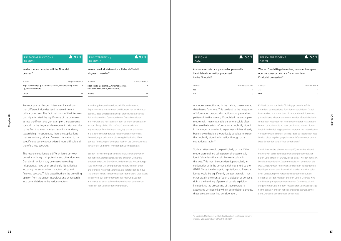AI models are optimized in the training phase to map data-based functions. This can lead to the integration of information beyond abstractions and generalized patterns into the training. Especially in very complex models with many trainable parameters, it is often the case that certain information is implicitly stored in the model. In academic experiments it has already been shown that it is theoretically possible to extract this implicitly stored information through data extraction attacks.<sup>15</sup>

Such an attack would be particularly critical if the model were trained using personal or personally identifiable data that could be made public in this way. This must be considered, particularly in conjunction with the personal rights granted by the GDPR. Since the damage to reputation and financial losses would be significantly greater than with most other data in the event of such a violation of personal rights, the handling of personal data is explicitly included. As the processing of trade secrets is associated with a similarly high potential for damage, these are also taken into consideration.

15 Jagielski, Matthew, et al. "High-fidelity extraction of neural network models." arXiv preprint arXiv:1909.01838. 2019.

Previous user and expert interviews have shown that different industries tend to have different critical *use cases*. The fact that most of the interview participants rated the significance of the use cases as less significant than, for example, the *worst-case scenario* or the targeted development status was due to the fact that even in industries with a tendency towards high risk potential, there are applications that are not very critical. An exact derivation to the specific use case was considered more difficult and therefore less accurate.

The response options are differentiated between domains with high risk potential and other domains. Domains in which many use cases have a high risk potential have been empirically identified as including the automotive, manufacturing, and financial sectors. This is based both on the prevailing opinion from the expert interviews and on research into potential risks in the various sectors.

### EINSATZBEREICH / **BRANCHE**

KI-Modelle werden in der Trainingsphase daraufhin optimiert, datenbasierte Funktionen abzubilden. Dabei kann es dazu kommen, dass nicht nur Abstraktionen und generalisierte Muster antrainiert werden. Gerade bei sehr komplexen Modellen mit vielen trainierbaren Parametern kommt es auch oft dazu, dass bestimmte Informationen implizit im Modell abgespeichert werden. In akademischen Versuchen wurde bereits gezeigt, dass es theoretisch möglich ist, diese implizit gespeicherten Informationen durch Data-Extraction-Angriffe zu extrahieren.15

Sehr kritisch wäre ein solcher Angriff, wenn das Modell mithilfe von personenbezogenen oder personenbeziehbaren Daten trainiert wurde, die so publik werden könnten. Dies ist besonders im Zusammenspiel mit den durch die DSGVO gewährten Persönlichkeitsrechten zu betrachten. Der Reputations- und finanzielle Schaden wäre bei solch einer Verletzung von Persönlichkeitsrechten deutlich größer als bei den meisten anderen Daten. Deshalb wird der Umgang mit personenbezogenen Daten explizit mit aufgenommen. Da mit dem Prozessieren von Geschäftsgeheimnissen ein ähnlich hohes Schadenspotenzial einhergeht, werden diese ebenfalls betrachtet.

In vorhergehenden Interviews mit Expertinnen und Experten sowie Nutzerinnen und Nutzern hat sich herausgestellt, dass unterschiedliche Branchen zu unterschiedlich kritischen *Use Cases* tendieren. Dass die meisten Interviewten die Aussagekraft aber geringer einschätzten als zum Beispiel das *Worst-Case-Szenario* oder den angestrebten Entwicklungsstand, lag daran, dass auch in Branchen mit tendenziell hohem Gefahrenpotenzial Anwendungen existieren, die wenig kritisch sind. Eine genaue Ableitung auf den spezifischen *Use Case* wurde als schwieriger und daher weniger genau eingeschätzt.

Bei den Antwortmöglichkeiten wird zwischen Domänen mit hohem Gefahrenpotenzial und anderen Domänen unterschieden. Als Domänen, in denen viele Anwendungsfälle ein hohes Gefahrenpotenzial haben, wurden unter anderem die Automobilbranche, die verarbeitende Industrie und der Finanzsektor empirisch identifiziert. Dies stützt sich sowohl auf die vorherrschende Meinung aus den Interviews als auch auf eine Recherche von potenziellen Risiken in den verschiedenen Branchen.

### PERSONENBEZOGENE DATEN

Werden Geschäftsgeheimnisse, personenbezogene oder personenbeziehbare Daten von dem KI-Modell prozessiert?



| Antwort | Antwort-Faktor |
|---------|----------------|
| Ja      |                |
| Nein    | Ω              |

Are trade secrets or is personal or personally identifiable information processed by the AI model?

#### PERSONAL DATA FIELD OF APPLICATION / **5.6 %**

| Answer | Response Factor |
|--------|-----------------|
| Yes    |                 |
| No     |                 |

### In which industry sector will the AI model be used?

### In welchem Industriesektor soll das KI-Modell eingesetzt werden?

**9,7 %**

| Answer                                                                                   | Response Factor |  |
|------------------------------------------------------------------------------------------|-----------------|--|
| High-risk sector (e.g. automotive sector, manufacturing indus-<br>try, financial sector) |                 |  |
| Other                                                                                    |                 |  |

| Antwort                                                                              | Antwort-Faktor |
|--------------------------------------------------------------------------------------|----------------|
| Hoch-Risiko-Bereich (z. B. Automobilsektor,<br>herstellende Industrie, Finanzsektor) |                |
| Andere                                                                               |                |

### **BRANCH**

### **9.7 %**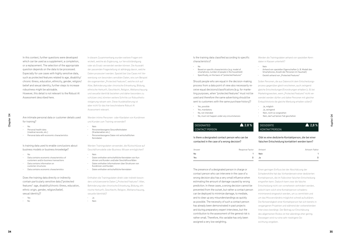Werden die Trainingsdaten anhand von speziellen Kenndaten in Klassen unterteilt?

Sollen Personen, die aus Datensicht dem Entscheidungsprozess gegenüber gleich erscheinen, auch zwingend gleiche Entscheidungen/Einordnungen erhalten (z. B. bei Marketingzwecken, wenn "Protected Features" nicht verwendet werden dürfen und daher Personen mit gleicher Einkaufshistorie die gleiche Werbung erhalten sollen)?

Einen geringen Einfluss bei der Abschätzung der Schadenshöhe hat das Vorhandensein einer dedizierten Kontaktperson, die im Falle einer falschen Entscheidung eingreifen kann. Dadurch kann zwar die falsche Entscheidung nicht von vorneherein verhindert werden, jedoch kann solch eine Kontaktperson schadensminimierend eingesetzt werden, um zu vermitteln und um das Missverständnis möglichst schnell aufzuklären. Die Notwendigkeit einer Kontaktperson hat sich bereits in vergangenen Projekten und während der vorbereitenden Interviews bestätigt. Der Beitrag zur Einschätzung des allgemeinen Risikos ist hier allerdings eher gering. Deswegen wird nur eine sehr niedrigere Gewichtung vergeben.

#### Is the training data classified according to specific characteristics?

Should people who are equal in the decision-making process from a data point of view also necessarily receive equal decisions/classifications (e.g. for marketing purposes, when "protected features" must not be used and therefore the same advertising should be sent to customers with the same purchase history)?

Chapter 04 Chapter 04

> The presence of a designated person in charge or contact person who can intervene in the case of a wrong decision also has a very small influence when estimating the amount of damage caused by wrong prediction. In these cases, a wrong decision cannot be prevented from the outset, but rather a contact person can be deployed to minimize damage, to mediate, and to clear up any misunderstandings as quickly as possible. The necessity of such a contact person has already been demonstrated in past projects and during preparatory expert interviews, but the contribution to the assessment of the general risk is rather small. Therefore, this variable has only been assigned a very low weighting.

In this context, further questions were developed

which can be used as a supplement, a completion, or a replacement. The selection of the appropriate question depends on the data to be processed. Especially for use cases with highly sensitive data, such as protected features related to age, disability/ chronic illness, education, ethnicity, gender, religion/ belief and sexual identity, further steps to increase robustness might be advisable. However, this detail is not relevant to the Robust AI

Assessment described here.

Are intimate personal data or customer details used for training?

- Nein
- Anhand von speziellen Eigenschaften (z. B. Modell des Smartphones, Anzahl der Personen im Haushalt)
- Gezielt anhand von "Protected Features"

Is training data used to enable conclusions about business models or business knowledge?

Does the training data directly or indirectly contain particularly sensitive data ("protected features": age, disability/chronic illness, education, ethnic origin, gender, religion/belief. sexual identity)?

In diesem Zusammenhang wurden weitere Fragen entwickelt, welche als Ergänzung, zur Vervollständigung oder als Ersatz verwendet werden können. Die Auswahl der passenden Fragestellung ist abhängig davon, welche Daten prozessiert werden. Speziell bei Use Cases mit Verwendung von besonders sensiblen Daten, wie zum Beispiel die sogenannten "Protected Features", welche sich auf Alter, Behinderung oder chronische Erkrankung, Bildung, ethnische Herkunft, Geschlecht, Religion, Weltanschauung und sexuelle Identität beziehen und daher besonders zu schützen sind, könnten weitere Schritte zur Robustheitssteigerung ratsam sein. Diese Ausdetaillierung ist aber nicht für das hier beschriebene Robust AI Assessment relevant.

Werden intime Personen- oder Klardaten von Kundinnen und Kunden zum Training verwendet?

Werden Trainingsdaten verwendet, die Rückschlüsse auf Geschäftsmodelle oder Business-Wissen ermöglichen?

Enthalten die Trainingsdaten direkt oder indirekt besonders schützenswerte Daten ("Protected Features": Alter, Behinderung oder chronische Erkrankung, Bildung, ethnische Herkunft, Geschlecht, Religion, Weltanschauung, sexuelle Identität)?

### DEDIZIERTE KONTAKTPERSON

### Gibt es eine dedizierte Kontaktperson, die bei einer falschen Entscheidung kontaktiert werden kann?

**2,8 %**

| Antwort     | Antwort-Faktor |
|-------------|----------------|
| <b>Nein</b> |                |
| Ja          |                |

Is there a designated contact person who can be contacted in the case of a wrong decision?

#### DESIGNATED CONTACT PERSON **2.8 %**

| Answer | Response Factor |
|--------|-----------------|
| No     |                 |
| Yes    |                 |

- Nein
- Daten enthalten wirtschaftliche Kenndaten von Kundinnen und Kunden und/oder Geschäftsvorfällen
- Daten enthalten Informationen über Strukturen von Kundinnen und Kunden
- Daten enthalten wirtschaftliche Kenndaten
- No
- Data contains economic characteristics of customers and/or business transactions
- Data contains information on customer structures
- Data contains economic characteristics
- Nein
- Personenbezogene Gesundheitsdaten (Krankenakten etc.)
- Personenbezogene Daten mit wirtschaftlichen Kenndaten
- No
- Personal health data
- (medical records, etc.)

• Personal data with economic characteristics

- Ja
- Nein
- Yes
- No
- Ja, möglich
- Ja, zwingend
- Nein, nicht so vorgesehen
- Nein, darf auf keinen Fall geschehen
- Yes, possible
- Yes, mandatory
- No, not intended
- No, must not happen under any circumstances
- No
- Based on specific characteristics (e.g. model of smartphone, number of people in the household)
- Specifically, on the basis of "protected features"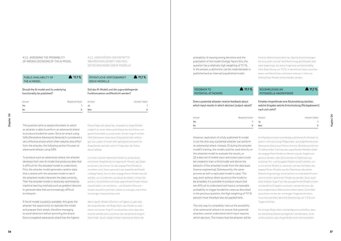probability of causing wrong decisions and the publication of the model strongly favors this, this question has a relatively high weighting of 11.1 %. In the answer, a distinction can be made between a published and an internal/unpublished model.

However, replication of a fully published AI model is not the only way a potential attacker can perform an *adversarial attack*[. Instead, \(1\) during the attacker](#page-7-0)  model's training, the model could be used directly on the attacked model to evaluate the results, or (2) a data set of tested input and output pairs could be created to train a third model and derive the behavior of the attacked model from the data base *(reverse engineering)*. Subsequently, the same process as with a replicated model is used. This way, even without direct access to the model to be attacked, it is possible to produce inputs that are difficult to understand and have a comparable probability to trigger borderline cases as described in the previous question, the high weighting of 11.1 % percent must therefore also be applied here.

The only way to completely rule out the possibility of an *adversarial attack* [is to ensure that potential](#page-7-0)  attackers cannot understand which input requires which decision. This means that the attacker will be

<span id="page-18-0"></span>4.1.2. ASSESSING THE PROBABILITY OF WRONG DECISIONS OF THE AI MODEL

This question aims to assess the extent to which [an attacker is able to perform an](#page-7-0) *adversarial attack* to produce borderline cases. Since an attack using GAN *(Generative Adversarial Network)* is considered a very effective attack which often requires less effort from the attacker, the following section focuses on *adversarial attacks* using GAN.

To produce such an *adversarial attack*, the attacker develops their own AI model that produces data that is difficult for the attacked model to understand. First, the attacker model generates random data that is tested with the attacked model to see if the attacked model interprets the data correctly. Then the attacker model is iteratively optimized by machine learning methods such as gradient descent to generate data that are increasingly difficult to interpret.

If the AI model is publicly available, this gives the attacker the opportunity to replicate the model and prepare their attack, therefore managing to avoid detection before launching the attack. Since a targeted *[adversarial attack](#page-7-0)* has the highest höchste Wahrscheinlichkeit hat, falsche Entscheidungen hervorzurufen und die Veröffentlichung des Modells dies stark begünstigt, hat diese Frage eine verhältnismäßig hohe Gewichtung von 11,1 %. In der Antwort kann zwischen einem veröffentlichten und einem internen / nicht veröffentlichten Modell unterschieden werden.

#### PUBLIC AVAILABILITY OF THE AI MODEL **11.1%**

Die Replikation eines vollständig publizierten KI-Modells ist jedoch nicht die einzige Möglichkeit, wie Angreifende einen *Adversarial Attack* [durchführen könenn. Stattdessen könnte](#page-7-0)  (1) während des Trainings des angreifenden Modells direkt das angegriffene Modell zur Bewertung der Ergebnisse genutzt werden, oder (2) es könnte ein Datensatz aus erprobten Ein- und Ausgabe-Paaren erstellt werden, um so ein drittes Modell zu trainieren und das Verhalten des angegriffenen Modells aus der Datenbasis abzuleiten *(Reverse Engineering)*. Anschließend wird derselbe Prozess wie mit einem replizierten Modell verwendet. Da so auch ohne direkten Zugriff auf das anzugreifende Modell schwer verständliche Eingaben produziert werden können, die eine vergleichbare Wahrscheinlichkeit haben, Grenzfälle auszulösen wie bei der vorherigen Frage beschrieben, muss hier ebenfalls die hohe Gewichtung von 11,1 % zum Tragen kommen.

Die einzige Möglichkeit vollständig auszuschließen, dass ein *Adversarial Attack* [durchgeführt werden kann, ist es](#page-7-0)  sicherzustellen, dass Angreifende nicht nachvollziehen

4.1.2. EINSCHÄTZEN DER EINTRITTS-WAHRSCHEINLICHKEIT VON FEHL-ENTSCHEIDUNGEN DES KI-MODELLS

Diese Frage zielt darauf ab, inwieweit es Angreifenden möglich ist, einen *Adversarial Attack* [durchzuführen, um](#page-7-0)  gezielt Grenzfälle zu produzieren. Da der Angriff mittels GAN *(Generative Adversarial Network)* als sehr effektiv gilt und zudem oft einen eher geringeren Aufwand für Angreifende darstellt, wird im Folgenden der Fokus darauf gelegt.

[Um einen solchen](#page-7-0) *Adversarial Attack* zu produzieren, entwickeln Angreifende ein eigenes KI-Modell, das Daten produziert, die schwer für das angegriffene Modell zu verstehen sind. Zuerst generiert das angreifende Modell zufällige Daten, die mit dem angegriffenen Modell erprobt werden, um zu erkennen, ob dieses die Daten richtig interpretiert. Anschließend wird das angreifende Modell mittels maschinellem Lernverfahren – wie Gradient-Descent – iterativ daraufhin optimiert, Daten zu erzeugen, die immer schwieriger interpretierbar sind.

Wenn das KI-Modell öffentlich verfügbar ist, gibt dies den Angreifenden die Möglichkeit, das Modell zu replizieren und seinen Angriff vorzubereiten, ohne dass dies erkannt werden kann und bevor der tatsächliche Angriff [stattfindet. Da ein zielgerichteter](#page-7-0) *Adversarial Attack* die

| ÖFFENTLICHE VERFÜGBARKEIT | $\triangle$ 11,1 |
|---------------------------|------------------|
| DES KI-MODELLS            |                  |

**%** 

### Soll das KI-Modell und die zugrundeliegende Funktionsweise veröffentlicht werden?

| Antwort     | Antwort-Faktor |
|-------------|----------------|
| Ja          |                |
| <b>Nein</b> |                |

### Should the AI model and its underlying functionality be published?

| Answer | Response Factor |
|--------|-----------------|
| Yes    |                 |
| No     |                 |

### FEEDBACK TO POTENTIAL ATTACKERS

### Does a potential attacker receive feedback about

**11.1%** 

which input results in which decision (output value)?

| Answer | Response Factor |
|--------|-----------------|
| Yes    |                 |
| No     |                 |

### RÜCKMELDUNG AN POTENZIELLE ANGREIFENDE

### Erhalten Angreifende eine Rückmeldung darüber, welche Eingabe welche Entscheidung (Rückgabewert) nach sich zieht?

**2** 11.1 %

| Antwort | Antwort-Faktor |
|---------|----------------|
| Ja      |                |
| Nein    | 0              |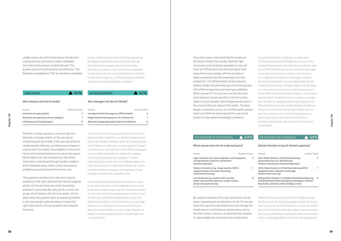Only when users understand that AI models are stochastic models that usually draw the right conclusions and recognize real patterns, but will never be 100 percent error-free and adjust their expectations accordingly, will they be able to deal consistently with the potentially incorrect predictions. The differentiation of the response options divides the potential users into three groups with different expertise and training possibilities. While a group of in-house users can be informed and trained on certain specifics of the AI models, there is a much greater risk of inexperienced users in the unrestricted user space of the public. The least danger is posed by use by very limited expert groups, which can either be well prepared for a particular system or have expert knowledge in advance.

By using the domains of AI, two conclusions can be drawn regarding the consideration of risk. On the one hand, the type of model determines how strongly the model reacts to individual wrong decisions, and on the other hand, it allows us to estimate how complex or interpretable the input and output data will be.

unable receive any information about the decisionmaking process and cannot create a database from which this process could be derived. The answer options for this question are limited to "Yes" (feedback available) and "No" (no feedback available).

Whether a model reaches an incorrect decision depends, to a large extent, on the user group interacting with the model. If the use case of the AI model requires that only a limited group of experts interact with the model, the probability of incorrect inputs and misinterpretations of outputs decreases. Nevertheless, the risk increases less than when information is disclosed through a public model or direct feedback loops, which is why the question weighting was placed lower than these two.

können, welche Eingabe welche Entscheidung bedingt. So erhalten Angreifende keine Information über den Entscheidungsfindungsprozess und können keine Datenbasis erstellen, aus der dieser Prozess abgeleitet werden könnte. Die Antwortmöglichkeiten beschränken sich bei dieser Frage auf "Ja" (Rückmeldung vorhanden) und "Nein" (keine Rückmeldung vorhanden).

This question considers both the risk of natural variations in the input data and the risk of a targeted attack. On the one hand, the circle of potential attackers is automatically reduced for a small user group, which reduces the risk of an attack. On the other hand, the question aims at assessing whether a user has enough understanding to choose the right input and to critically question and interpret the result.

Nur wenn Nutzerinnen und Nutzer verstehen, dass KI-Modelle stochastische Modelle sind, die zwar meist richtige Schlüsse ziehen und echte Muster erkennen, aber nie zu 100 % fehlerfrei sein werden und ihre Erwartungen dementsprechend anpassen, können sie konsequent mit möglicherweise falschen Vorhersagen umgehen. Die Unterscheidung der Antwortmöglichkeiten teilt die möglichen Nutzerinnen und Nutzer dabei in drei Gruppen mit unterschiedlicher Expertise und Schulungsmöglichkeiten. Während die firmeninterne Gruppe zu bestimmten Spezifika der KI-Modelle informiert und geschult werden kann, besteht im uneingeschränkten Nutzungsraum der Öffentlichkeit eine deutlich größere Gefahr unerfahrener Nutzerinnen und Nutzer. Die geringste Gefahr geht von einer Nutzung durch sehr limitierte Fachgruppen aus, die entweder gut auf ein bestimmtes System vorbereitet werden können oder schon im Vorhinein Fachwissen haben.

Mithilfe der Domäne der KI, können für die Betrachtung des Risikos zwei Rückschlüsse gezogen werden. Einerseits leitet sich aus der Art des Modells ab, wie stark das Modell auf einzelne Fehlentscheidungen reagiert und andererseits kann man so abschätzen, wie komplex oder interpretierbar die Ein- und Ausgabedaten sein werden. Die Aussagekraft

Ob eine Fehlentscheidung eines Modells auftreten kann, hängt ebenfalls maßgeblich von der Nutzungsgruppe ab, die mit dem Modell interagiert. Wenn der Anwendungsfall des KI-Modells vorsieht, dass nur eine begrenzte Gruppe von Expertinnen und Experten mit dem Modell interagiert, sinkt die Wahrscheinlichkeit für fehlerhafte Eingaben und Fehlinterpretationen der Ausgaben. Trotzdem steigt das Risiko weniger als durch die Bekanntgabe von Informationen durch ein öffentliches Modell oder direkte Feedbackschleifen, weswegen die Fragengewichtung niedriger als diese beiden gewählt wurde.

Diese Frage berücksichtigt sowohl das Risiko von natürlichen Abweichungen in den Eingabedaten als auch das Risiko eines zielgerichteten Angriffes. Einerseits reduziert sich bei einer kleinen Nutzungsgruppe automatisch auch der Kreis der potenziellen Angreifenden, wodurch die Gefahr eines Angriffes sinkt. Andererseits zielt die Frage darauf ab, einzuschätzen, ob Nutzerinnen und Nutzer genug Verständnis haben, um die richtigen Eingaben zu wählen sowie das Ergebnis kritisch zu hinterfragen und zu interpretieren.

### USER GROUP

#### Who interacts with the AI model?

| Answer                                        | Response Factor |
|-----------------------------------------------|-----------------|
| Unlimited user space (public)                 |                 |
| Restricted user space (e.g. internal company) |                 |
| Limited group of (trained) experts            |                 |

NUTZUNGSGRUPPE

### Wer interagiert mit dem KI-Modell?

#### Antwort Uneingeschränkter Nutzungsraum (Öffentlichkeit) Eingeschränkter Nutzungsraum (z. B. firmenintern) Begrenzte Gruppe (geschulter) Expertinnen/Experten Antwort-Faktor 2 1 0

**9,7 %**

**9.7 %**

### THE DOMAINS OF THE AI MODEL

#### Which domain does the AI model belong to?

### DIE DOMÄNE DES KI-MODELLS

#### Welcher Domäne ist das KI-Modell zugehörig?

**6,9 %**

**6.9 %**

| Answer                                                                                                                                     | Response Factor |   |
|--------------------------------------------------------------------------------------------------------------------------------------------|-----------------|---|
| High-risk domain (e.g. facial recognition, voice recognition<br>and identification, predictive maintenance<br>classifier/regression)       |                 | 2 |
| Medium-risk domain (e.g. image classifier, ASR for<br>speaker/assistant, time series forecasting,<br>reinforcement learning)               |                 |   |
| Low-risk domain (e.g. chatbot intent classifier,<br>tabular data classifier/regression, simple classifier,<br>simple multi-layer learning) |                 |   |

| Antwort                                                                                                                                                                           | Antwort-Faktor |
|-----------------------------------------------------------------------------------------------------------------------------------------------------------------------------------|----------------|
| Hoch-Risiko-Domäne (z. B. Gesichtserkennung,<br>Spracherkennung und -identifizierung,<br>Predictive Maintenance Classifier/Regression)                                            | 2              |
| Mittel-Risiko-Domäne (z. B. Bild-Klassifizierung, ASR für<br>Speaker/Assistent, Zeitreihen-Vorhersage,<br>Reinforcement Learning)                                                 | 1              |
| Niedrig-Risiko-Domäne (z. B. Chatbot-Absichtsklassifizierung,<br>Tabellendatenklassifizierung/Regressionsaufgaben, einfacher<br>Klassifizierer, einfaches mehrschichtiges Lernen) | N              |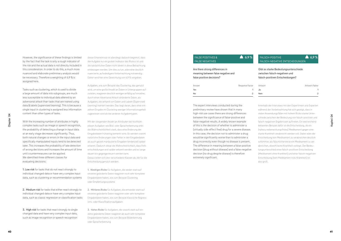The expert interviews conducted during the preliminary review have shown that in many high-risk use cases there are strong differences between the significance of false-positive and false-negative results. A widely known example of this is the decision of whether to administer a (virtually side-effect free) drug for a severe disease. In this case, the decision not to administer a drug would be significantly worse than to administer a drug incorrectly even though no disease is present. The difference in meaning between a false-positive decision (drug without disease) and a false-negative decision (no drug despite disease) is therefore extremely significant.

However, the significance of these findings is limited by the fact that the task is only a rough indicator of the risk and the actual data is not directly included in this consideration. In order to do this, a much more nuanced and elaborate preliminary analysis would be necessary. Therefore a weighting of 6.9 % is assigned here.

2. Medium risk for tasks that either react strongly to individual changed data or have very complex input data, such as classic regression or classification tasks

Tasks such as clustering, which is used to divide a large amount of data into subgroups, are much less susceptible to individual data altered by an *adversarial attack* [than tasks that are trained using](#page-7-0)  data & labels (*supervised learning*). This is because a single input in clustering is assigned less information content than other types of tasks.

With the increasing number of attributes in highly complex tasks such as image or speech recognition, the probability of detecting a change in input data at an early stage decreases significantly. Thus, both natural changes or errors in the input data and specifically manipulated inputs tend to be detected later. This increases the probability of late detection of wrong decisions and increases the amount of time until countermeasures can be applied. We identified three different classes for evaluating decisions:

1. Low risk for tasks that do not react strongly to individual changed data or have very complex input data, such as clustering or recommendation systems

3. High risk for tasks that react strongly to single changed data and have very complex input data, such as image recognition or speech recognition

Innerhalb der Interviews mit den Expertinnen und Experten während der Vorbetrachtung hat sich gezeigt, dass in vielen Anwendungsfällen mit hohem Risiko starke Unterschiede zwischen der Bedeutung von falsch-positiven und falsch-negativen Ergebnissen auftreten. Ein weitreichend bekanntes Beispiel dafür ist die Entscheidung, ob ein (nahezu nebenwirkungsfreies) Medikament gegen eine starke Krankheit verabreicht werden soll. Dabei wäre die Entscheidung kein Medikament zu verabreichen deutlich schlimmer, als fälschlicherweise ein Medikament zu verabreichen, obwohl keine Krankheit vorliegt. Der Bedeutungsunterschied einer falsch-positiven Entscheidung (Medikament ohne Krankheit) und einer falsch-negativen Entscheidung (kein Medikament trotz Krankheit) ist also groß.

dieser Erkenntnisse ist allerdings dadurch begrenzt, dass die Aufgabe nur ein grober Indikator des Risikos ist und die tatsächlichen Daten nicht direkt in diese Betrachtung einbezogen werden. Um dies zu tun, wäre eine deutlich nuancierte, aufwändigere Vorbetrachtung notwendig. Daher wird hier eine Gewichtung von 6,9 % vergeben.

Aufgaben, wie zum Beispiel das Clustering, das genutzt wird, um eine große Anzahl an Daten in Untergruppen aufzuteilen, reagieren deutlich weniger anfällig auf einzelne, durch einen *Adversarial Attack* [veränderte Daten, als](#page-7-0)  Aufgaben, die anhand von Daten und Labeln *(Supervised Learning)* trainiert werden. Das liegt daran, dass einer einzelnen Eingabe im Clustering weniger Informationsgehalt zugewiesen wird als bei anderen Aufgabentypen.

Mit der steigenden Anzahl an Attributen bei hochkomplexen Aufgaben wie Bild- oder Spracherkennung sinkt die Wahrscheinlichkeit stark, dass eine Änderung der Eingabedaten frühzeitig bemerkt wird. So werden sowohl natürliche Änderungen oder Fehler in den Eingabedaten als auch gezielt manipulierte Eingaben tendenziell später erkannt. Dadurch steigt die Wahrscheinlichkeit, dass Fehlentscheidungen erst später erkannt werden und es lange dauert bis gegengesteuert werden kann. Daraus leiten sich drei verschiedene Klassen ab, die für die Entscheidung genutzt werden:

1. Niedriges Risiko für Aufgaben, die weder stark auf einzelne geänderte Daten reagieren noch sehr komplexe Eingabedaten haben, wie zum Beispiel Clustering oder Empfehlungssysteme

2. Mittleres Risiko für Aufgaben, die entweder stark auf einzelne geänderte Daten reagieren oder sehr komplexe Eingabedaten haben, wie zum Beispiel klassische Regressions- oder Klassifikationsaufgaben

3. Hohes Risiko für Aufgaben, die sowohl stark auf einzelne geänderte Daten reagieren als auch sehr komplexe Eingabedaten haben, wie zum Beispiel Bilderkennung oder Spracherkennung

### FALSCH-POSITIVE FALSCH-NEGATIVE ENTSCHEIDUNGEN

### Gibt es starke Bedeutungsunterschiede zwischen falsch-negativen und falsch-positiven Entscheidungen?

**6,9 %**

| Antwort | Antwort-Faktor |
|---------|----------------|
| Ja      |                |
| Nein    |                |

#### FALSE POSITIVES & FALSE NEGATIVES **6.9 %**

Are there strong differences in meaning between false negative and false positive decisions?

| Answer | Response Factor |
|--------|-----------------|
| Yes    |                 |
| No     |                 |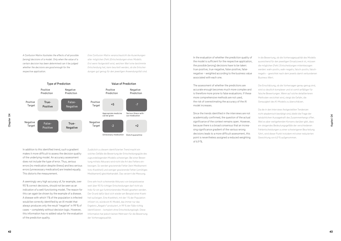In the evaluation of whether the prediction quality of the model is sufficient for the respective application, the possible (wrong) decisions have to be taken: true-positive, true-negative, false-positive, falsenegative − weighted according to the business value associated with each one.

The assessment of whether the predictions are accurate enough becomes much more complex and is therefore more prone to false evaluations. If these more comprehensive methods are not used, the risk of overestimating the accuracy of the AI model increases.

Since the trends identified in the interviews are not academically confirmed, the question of the actual significance of the context remains open. However, because there is a broad consensus that an increasing significance gradient of the various wrong decisions leads to a more difficult assessment, this point is nevertheless assigned a reduced weighting of 6.9 %.

In addition to this identified trend, such a gradient makes it more difficult to assess the decision quality of the underlying model. An accuracy assessment does not include the type of error. Thus, serious errors (no medication despite illness) and less serious errors (unnecessary medication) are treated equally. This distorts the measurement.

A seemingly very high accuracy of, for example, over 90 % correct decisions, should not be seen as an indication of a well-functioning model. The reason for this can again be shown by the example of a disease. A disease with which 1 % of the population is infected would be correctly identified by an AI model that always produces only the result "negative" in 99 % of cases − completely without decision logic. However, this information has no added value for the evaluation of the prediction quality.

In die Bewertung, ob die Vorhersagequalität des Modells ausreichend für den jeweiligen Einsatzzweck ist, müssen die möglichen (Fehl-) Entscheidungen miteinbezogen werden: wahr-positiv, wahr-negativ, falsch-positiv, falschnegativ – gewichtet nach dem jeweils damit verbundenen Business-Wert.

Die Einschätzung, ob die Vorhersagen genau genug sind, wird so deutlich komplexer und ist somit anfälliger für falsche Bewertungen. Wenn auf solche detaillierteren Methoden verzichtet wird, steigt die Gefahr, die Genauigkeit des KI-Modells zu überschätzen.

Da die in den Interviews festgestellten Tendenzen nicht akademisch bestätigt sind, bleibt die Frage der tatsächlichen Aussagekraft des Zusammenhangs offen. Weil es aber weitgehenden Konsens darüber gibt, dass ein steigendes Bedeutungsgefälle der verschiedenen Fehlentscheidungen zu einer schwierigeren Beurteilung führt, wird dieser Punkt trotzdem mit einer reduzierten Gewichtung von 6,9 % aufgenommen.

Zusätzlich zu diesem identifizierten Trend macht ein solches Gefälle die Bewertung der Entscheidungsgüte des zugrundeliegenden Modells schwieriger. Bei einer Bewertung mittels Akkuranz wird nicht die Art des Fehlers einbezogen. So werden gravierende Fehler (kein Medikament trotz Krankheit) und weniger gravierende Fehler (unnötiges Medikament) gleichbehandelt. Das verzerrt die Messung.

Eine sehr hoch scheinende Akkuranz von beispielsweise weit über 90 % richtiger Entscheidungen darf nicht als Indiz für ein gut funktionierendes Modell gesehen werden. Der Grund dafür lässt sich wieder am Beispiel einer Krankheit aufzeigen. Eine Krankheit, mit der 1 % der Population infiziert ist, würde ein KI-Modell, das immer nur das Ergebnis "Negativ" produziert, in 99 % der Fälle richtig identifizieren – komplett ohne Entscheidungslogik. Diese Information hat jedoch keinen Mehrwert für die Bewertung der Vorhersagequalität.

*Eine Confusion-Matrix veranschaulicht die Auswirkungen aller möglichen (Fehl-)Entscheidungen eines Modells. Erst wenn festgestellt wird, welchen Wert eine bestimmte Entscheidung hat, kann beurteilt werden, ob die Entscheidungen gut genug für den jeweiligen Anwendungsfall sind.*

*A Confusion Matrix illustrates the effects of all possible (wrong) decisions of a model. Only when the value of a certain decision has been determined can it be judged whether the decisions are good enough for the respective application.*

Kapitel 04

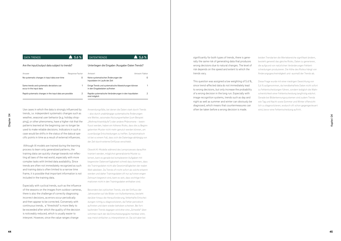Use cases in which the data is strongly influenced by trends, i.e. independent systematic changes such as weather, seasonal user behavior (e.g. holiday shopping), or other phenomena, have a higher risk that the patterns learned at the beginning can no longer be used to make reliable decisions. Indicators in such a case would be shifts in the status of the data at specific points in time as a result of external influences.

 Although AI models are trained during the learning process to learn only generalized patterns, the training data can quickly change towards not reflecting all laws of the real world, especially with more complex tasks with limited data availability. Since trends are often not immediately recognized as such and training data is often limited to a narrow time frame, it is possible that important information is not included in the training data.

This question was assigned a low weighting of 5.6 %, since trend-affected data do not immediately lead to wrong decisions, but only increase the probability of a wrong decision in the long run. Especially with image recognition systems, trends such as day and night as well as summer and winter can obviously be diagnosed, which means that countermeasures can often be taken before a wrong decision is made. Anwendungsfälle, bei denen die Daten stark durch Trends wird, bevor eine Fehlentscheidung auftritt.

Especially with cyclical trends, such as the influence of the seasons on the images from outdoor cameras, there is also the challenge of correctly diagnosing incorrect decisions, as errors occur periodically and then appear to be corrected. Conversely with continuous trends, a "threshold" is more likely to be exceeded after which the quality of the decision is noticeably reduced, which is usually easier to interpret. However, since the value ranges change

significantly for both types of trends, there is generally the same risk of generating data that produces wrong decisions due to natural changes. The level of risk depends on the speed and extent to which the trends vary.

beiden Trendarten die Wertebereiche signifikant ändern, besteht generell das gleiche Risiko, Daten zu generieren, die aufgrund von natürlichen Veränderungen Fehlentscheidungen produzieren. Die Höhe des Risikos hängt von Änderungsgeschwindigkeit und -ausmaß der Trends ab.

Diese Frage wurde mit einer niedrigen Gewichtung von 5,6 % aufgenommen, da trendbehaftete Daten nicht sofort zu Fehlentscheidungen führen, sondern lediglich die Wahrscheinlichkeit einer Fehlentscheidung langfristig wächst. Gerade bei Bilderkennungssystemen sind zudem Trends wie Tag und Nacht sowie Sommer und Winter offensichtlich zu diagnostizieren, wodurch oft schon gegengesteuert

– also durch unabhängige systematische Änderungen wie Wetter, saisonales Nutzungverhalten (zum Beispiel "Weihnachtseinkäufe") oder andere Phänomene – beeinflusst werden, haben ein höheres Risiko, dass die zu Beginn gelernten Muster nicht mehr genutzt werden können, um zuverlässige Entscheidungen zu treffen. Symptomatisch ist bei so einem Fall, dass sich die Datenlage abhängig von der Zeit durch externe Einflüsse verschiebt.

Obwohl KI-Modelle während des Lernprozesses daraufhin trainiert werden, möglichst generalisierte Muster zu lernen, kann es gerade bei komplexeren Aufgaben mit begrenzter Datenverfügbarkeit schnell dazu kommen, dass die Trainingsdaten nicht alle Gesetzmäßigkeiten der realen Welt abbilden. Da Trends oft nicht sofort als solche erkannt werden und daher Trainingsdaten oft nur auf einen engen Zeitraum begrenzt sind, kann es sein, dass wichtige Informationen nicht in den Trainingsdaten enthalten sind.

Besonders bei zyklischen Trends, wie der Einfluss der Jahreszeiten auf die Bilder von Außenkameras, besteht darüber hinaus die Herausforderung, fehlerhafte Entscheidungen richtig zu diagnostizieren, da Fehler periodisch auftreten und dann wieder behoben scheinen. Bei fortlaufenden Trends dagegen wird eher eine "Schwelle" überschritten nach der die Entscheidungsgüte merkbar sinkt, was meist einfacher zu interpretieren ist. Da sich aber bei

#### Unterliegen die Eingabe-/Ausgabe-Daten Trends?

#### DATENTRENDS **5,6 %**

### DATA TRENDS

#### Are the input/output data subject to trends?

| Antwort                                                                              | Antwort-Faktor |
|--------------------------------------------------------------------------------------|----------------|
| Keine systematischen Änderungen der<br>Inputdaten im Laufe der Zeit                  |                |
| Einige Trends und systematische Abweichungen können<br>in den Eingabedaten auftreten |                |
| Rapide systematische Veränderungen in den Inputdaten<br>sind möglich                 |                |

| Answer                                                               | Response Factor |
|----------------------------------------------------------------------|-----------------|
| No systematic changes in input data over time                        |                 |
|                                                                      |                 |
| Some trends and systematic deviations can<br>occur in the input data | 1               |
|                                                                      |                 |
| Rapid systematic changes in the input data are possible              | っ               |
|                                                                      |                 |

### **5.6 %**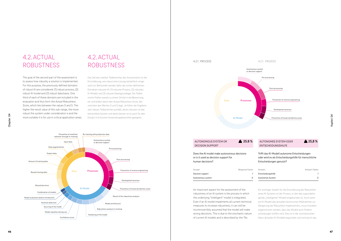Ein wichtiger Aspekt für die Einschätzung der Robustheit eines KI-Systems ist der Prozess, in den das zugrundeliegende "intelligente" Modell eingebunden ist. Auch wenn ein KI-Modell alle aktuellen technischen Maßnahmen zur Steigerung der Robustheit implementiert, muss trotzdem angenommen werden, dass das Modell auch Fehlentscheidungen treffen wird. Dies ist in der stochastischen Natur aktueller KI-Modelle begründet und wird durch das

### <span id="page-23-0"></span>4.2.ACTUAL ROBUSTNESS

The goal of the second part of the assessment is to assess how robustly a solution is implemented. For this purpose, the previously defined domains of robust AI are considered: (1) robust process, (2) robust AI model and (3) robust data basis. One third of each of these domains are included in the evaluation and thus form the *Actual Robustness Score*, which lies between the values 0 and 5. The higher the result value of this sub-range, the more robust the system under consideration is and the more suitable it is for use in critical application areas.

### 4.2.ACTUAL ROBUSTNESS

Das Ziel des zweiten Teilbereiches des Assessments ist die Einschätzung, wie robust eine Lösung tatsächlich umgesetzt ist. Betrachtet werden dafür die vorher definierten Domänen robuster KI: (1) robuster Prozess, (2) robustes KI-Modell und (3) robuste Datengrundlage. Die Teilbereiche fließen jeweils zu einem Drittel in die Bewertung ein und bilden damit den *Actual Robustness Score*, der zwischen den Werten 0 und 5 liegt. Je höher der Ergebniswert dieses Teilbereiches ausfällt, desto robuster ist das betrachtete System und desto besser ist es auch für den Einsatz in kritischen Anwendungsbereichen geeignet.

### AUTONOMES SYSTEM ODER ENTSCHEIDUNGSHILFE

### Trifft das KI-Modell autonome Entscheidungen oder wird es als Entscheidungshilfe für menschliche Entscheidungen genutzt?

| Antwort            | Antwort-Faktor |
|--------------------|----------------|
| Entscheidungshilfe |                |
| Autonomes System   |                |



#### 4.2.1. PROCESS 4.2.1. PROZESS

An important aspect for the assessment of the robustness of an AI system is the process in which the underlying "intelligent" model is integrated. Even if an AI model implements all current technical measures to increase robustness, it can still be incontrovertibly assumed that the model will make wrong decisions. This is due to the stochastic nature of current AI models and is described by the "No

**25.8 %** AUTONOMOUS SYSTEM OR DECISION SUPPORT

| Answer            | Response Factor |
|-------------------|-----------------|
| Decision support  |                 |
| Autonomous system |                 |

Does the AI model make autonomous decisions or is it used as decision support for human decisions?





AI Model

Data Processes

#### Autonomous system or decision support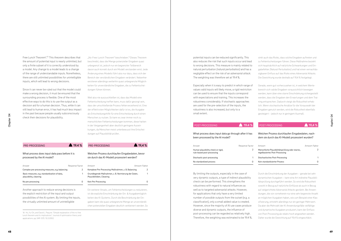Free Lunch Theorem".<sup>16</sup> This theorem describes that the amount of potential input is nearly unlimited, but only a finite subset of it is correctly understood by a model. Any change to a model leads to a change of the range of understandable inputs. Nonetheless, there are still unlimited possibilities for unintelligible inputs, which will lead to wrong decisions.

Since it can never be ruled out that the model could make a wrong decision, it must be ensured that the surrounding process is flexible. One of the most effective ways to do this is to use the output as a decision aid for a human decision. Thus, while it can still lead to human error, it has had much less impact in the past because people usually subconsciously check their decisions for plausibility.

Another approach to reduce wrong decisions is the explicit restriction of the input and output possibilities of the AI system. By limiting the inputs, the virtually unlimited amount of unintelligible

16 Ho, Yu-Chi, and David L. Pepyne. "Simple explanation of the no free lunch theorem and its implications." Journal of optimization theory and applications: pp. 549-570. 15.3.2002.

### **19.4** %

potential inputs can be reduced significantly. This also reduces the risk that such inputs occur and lead to wrong decisions. This measure is mainly related to natural perturbation *(natural perturbation)* and has a [negligible effect on the risk of an](#page-7-0) *adversarial attack*. The weighting was therefore set at 19.4 %.

Especially when it is easy to predict in which range of values valid inputs will likely move, a rigid restriction can be used to ensure that the inputs correspond with expectations and training. This increases the robustness considerably. If stochastic approaches are used for the pre-selection of the inputs, the robustness is also increased, but only to a small extent.

By limiting the outputs, especially in the case of very dynamic outputs, a type of indirect plausibility check can be performed. This strengthens the robustness with regard to natural influences as well as to targeted *[adversarial attacks](#page-7-0)*. However, for applications that only have a very limited number of possible outputs from the outset (e.g. a classification), only a small added value is created. However, since the majority of AI use cases produce diverse and dynamic outputs, the influence of post-processing can be regarded as relatively high. Therefore, the weighting was estimated to be 19.4 %.

"No-Free-Lunch-Theorem" beschrieben.<sup>16</sup> Dieses Theorem beschreibt, dass die Menge potenzieller Eingaben quasi unbegrenzt ist, jedoch nur ein begrenzter Teilbereich davon auch korrekt durch ein Modell verstanden wird. Jede Änderung eines Modells führt also nur dazu, dass sich der Bereich der verständlichen Eingaben verändert. Nebenher existieren allerdings weiterhin quasi unbegrenzte Möglichkeiten für unverständliche Eingaben, die zu Fehlentscheidungen führen können.

sinkt auch das Risiko, dass solche Eingaben auftreten und zu Fehlentscheidungen führen. Diese Maßnahme bezieht sich hauptsächlich auf natürliche Schwankungen und Eingabefehler *(Natural Perturbation)* und hat einen vernachläs[sigbaren Einfluss auf das Risiko eines](#page-7-0) *Adversarial Attacks.* Die Gewichtung wurde deshalb auf 19,4 % festgelegt.

Gerade, wenn gut vorherzusehen ist, in welchem Wertebereich sich valide Eingaben voraussichtlich bewegen werden, kann über eine starre Einschränkung sichergestellt werden, dass die Eingaben den Erwartungen und dem Training entsprechen. Dadurch steigt die Robustheit erheblich. Wenn stochastische Ansätze für die Vorauswahl der Eingaben genutzt werden, wird die Robustheit ebenfalls gesteigert – jedoch nur in geringem Ausmaß.

Durch die Einschränkung der Ausgaben – gerade bei sehr dynamischen Ausgaben – kann eine Art indirekte Plausibilitätsprüfung durchgeführt werden. So wird die Robustheit sowohl in Bezug auf natürliche Einflüsse als auch in Bezug auf zielgerichtete *[Adversarial Attacks](#page-7-0)* gestärkt. Bei Anwendungen, die von vorneherein nur eine sehr begrenzte Anzahl an möglichen Ausgaben haben, wie zum Beispiel einer Klassifizierung, entsteht allerdings nur ein geringer Mehrwert. Da aber die Mehrzahl der KI-Anwendungsfälle vielfältige und dynamische Ausgaben produziert, kann der Einfluss von Post-Processing als relativ hoch angesehen werden. Daher wurde die Gewichtung auf 19,4 % eingeschätzt.

Weil also nie auszuschließen ist, dass das Modell eine Fehlentscheidung treffen kann, muss dafür gesorgt sein, dass der umschließende Prozess fehlerverzeihend ist. Eine der effektivsten Möglichkeiten dafür ist es, die Ausgabe als Entscheidungshilfe für eine Entscheidung durch einen Menschen zu nutzen. So kann es zwar immer noch zu menschlichen Fehlentscheidungen kommen, diese hatten in der Vergangenheit aber deutlich geringere Auswirkungen, da Menschen meist unterbewusst ihre Entscheidungen auf Plausibilität prüfen.

Ein weiterer Ansatz, um Fehlentscheidungen zu reduzieren, ist die explizite Einschränkung der Ein- & Ausgabemöglichkeiten des KI-Systems. Durch die Beschränkung der Eingaben kann die quasi unbegrenzte Menge an unverständlichen potenziellen Eingaben deutlich verkleinert werden. So

#### POST-PROCESSING

### Welchen Prozess durchlaufen Eingabedaten, nachdem sie durch das KI-Modell prozessiert wurden?

#### POST-PROCESSING

What process does input data go through after it has been processed by the AI model?

**19.4 %**

**19.4** %

| Antwort                                                                           | Antwort-Faktor |
|-----------------------------------------------------------------------------------|----------------|
| Menschliche Plausibilitätsprüfung oder starres,<br>regelbasiertes Post-Processing | 2              |
| Stochastisches Post-Processing                                                    | 1              |
| Kein standardisierter Prozess                                                     | n              |

Welchen Prozess durchlaufen Eingabedaten, bevor sie durch das KI-Modell prozessiert werden?

| Answer                                                           | Response Factor |
|------------------------------------------------------------------|-----------------|
| Human plausibility check or rigid,<br>rule-based post-processing |                 |
| Stochastic post-processing                                       |                 |
| No standardized process                                          |                 |

#### What process does input data pass before it is processed by the AI model? Answer Complex pre-processing measures, e.g. balancing No pre-processing **19.4** % Response Factor  $\overline{2}$ 1 0 Antwort Kein Pre-Processing PRE-PROCESSING **A 19.4 %** PRE-PROCESSING Basic measures, e.g. standardization of data, plausibility, cleaning

| Antwort                                                                          | Antwort-Faktor |
|----------------------------------------------------------------------------------|----------------|
| Komplexe Pre-Processing-Maßnahmen, z. B. Balancing                               |                |
| Grundlegende Maßnahmen, z. B. Normierung der Daten,<br>Plausibilitäten, Cleaning |                |
| Kein Pre-Processing                                                              |                |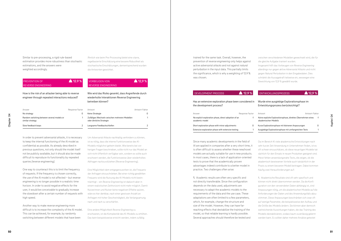trained for the same task. Overall, however, the prevention of *reverse engineering* only helps against active *adversarial attacks* and not against *natural perturbation* [in the input data. This partially limits](#page-7-0)  the significance, which is why a weighting of 12.9 % was chosen.

Since many academic developments in the field of AI are applied in companies after a very short time, it is often difficult to assess whether these new/novel models are actually suitable for use in new products. In most cases, there is a lack of application-oriented tests to prove that the academically proven advantages indeed contribute to a better model in practice. Two challenges often arise:

1. Academic results are often very specific and not directly transferable. Since the configuration depends on the data used, adjustments are necessary to adapt the academic models to the requirements of the data and the use case. These adaptations are often limited to a few parameters, which, for example, change the structure and size of the model. However, they can have farreaching effects that destabilize the training of the model, so that reliable learning is hardly possible. Several approaches should therefore be tested and

Similar to pre-processing, a rigid rule-based estimation provides more robustness than stochastic estimations, and the answers were weighted accordingly.

In order to prevent *[adversarial attacks](#page-7-0)*, it is necessary to keep the internal functioning of the AI model as confidential as possible. As already described in previous questions, not only should the model itself not be publicly available, but it should also be made difficult to reproduce its functionality by repeated queries *(reverse engineering)*.

One way to counteract this is to limit the frequency of requests. If the frequency is chosen correctly, the use of the AI model is not affected − but *reverse engineering* is no longer possible in a realistic time horizon. In order to avoid negative effects for the user, it would be conceivable to gradually increase the slowdown after a certain number of requests with high speed.

Another way to make *reverse engineering* more difficult is to increase the complexity of the AI model. This can be achieved, for example, by randomly switching between different models that have been

zwischen verschiedenen Modellen gewechselt wird, die für die gleiche Aufgabe trainiert wurden.

Insgesamt hilft das Vorbeugen von *Reverse Engineering* [allerdings nur gegen aktive](#page-7-0) *Adversarial Attacks* und nicht gegen *Natural Perturbation* in den Eingabedaten. Dies schränkt die Aussagekraft teilweise ein, weswegen eine Gewichtung von 12,9 % gewählt wurde.

Da im Bereich KI viele akademische Entwicklungen nach sehr kurzer Zeit Anwendung in Unternehmen finden, ist es oft schwer einzuschätzen, ob diese neuartigen Modelle tatsächlich für den Einsatz in neuen Produkten geeignet sind. Meist fehlen anwendungsnahe Tests, die zeigen, ob die akademisch bewiesenen Vorteile auch tatsächlich in der Praxis zu einem besseren Modell beitragen. Dabei kommen häufig zwei Herausforderungen auf:

1. Akademische Resultate sind oft sehr spezifisch und können nicht direkt übernommen werden. Da die Konfiguration von den verwendeten Daten abhängig ist, sind Anpassungen nötig, um die akademischen Modelle auf die Anforderungen der Daten und des Anwendungsfalls abzustimmen. Diese Anpassungen beschränken sich zwar oft auf wenige Parameter, die beispielsweise den Aufbau und die Größe des Modells ändern. Sie können aber dennoch weitreichende Auswirkungen haben, die das Training des Modells destabilisieren, sodass kaum zuverlässig gelernt werden kann. Es sollten daher mehrere Ansätze getestet

Ähnlich wie beim Pre-Processing bietet eine starre, regelbasierte Einschätzung eine bessere Robustheit als stochastische Einschätzungen, dementsprechend wurden die Antworten gewichtet.

Um *[Adversarial Attacks](#page-7-0)* nachhaltig verhindern zu können, ist es nötig, dass die interne Funktionsweise des KI-Modells möglichst geheim bleibt. Wie bereits bei vorherigen Fragen beschrieben, sollte nicht nur das Modell an sich nicht öffentlich verfügbar sein, sondern es sollte auch erschwert werden, die Funktionsweise über wiederholtes Abfragen nachzuvollziehen (Reverse Engineering).

Eine Möglichkeit dem entgegenzuwirken ist, die Frequenz der Anfragen einzuschränken. Bei einer richtig gewählten Frequenz wird die Nutzung des KI-Modells nicht beeinträchtigt – ein *Reverse Engineering* ist dadurch aber in einem realistischen Zeithorizont nicht mehr möglich. Damit Nutzerinnen und Nutzer keine negativen Effekte spüren, wäre es hier denkbar, nach einer gewissen Anzahl an Anfragen mit hoher Geschwindigkeit, die Verlangsamung nach und nach zu verschärfen.

Eine andere Möglichkeit *Reverse Engineering* zu erschweren, ist die Komplexität des KI-Modells zu erhöhen. Das kann beispielsweise erreicht werden, indem zufällig

 VORBEUGEN VON REVERSE ENGINEERING

Wie wird das Risiko gesenkt, dass Angreifende durch wiederholte Interaktionen Reverse Engineering betreiben können?

**12,9 %**

### ENTWICKLUNGSPROZESS

### Wurde eine ausgiebige Explorationsphase im Entwicklungsprozess berücksichtigt?

**12,9 %**

#### DEVELOPMENT PROCESS

#### Has an extensive exploration phase been considered in the development process?

| Antwort                                                                   | Antwort-Faktor |
|---------------------------------------------------------------------------|----------------|
| Keine Strategie                                                           |                |
| Zufälliges Wechseln zwischen mehreren Modellen<br>oder ähnliche Strategie |                |
| Langsame Feedbackschleifen                                                |                |

**12.9 %**

| Antwort-Faktor<br>Antwort                                                            |      |
|--------------------------------------------------------------------------------------|------|
| Keine explizite Explorationsphase, direktes Übernehmen eines<br>akademischen Modells | $-1$ |
| Kurze Explorationsphase mit kleineren Anpassungen                                    | U    |
| Ausgiebige Explorationsphase mit umfangreichen Tests                                 | 1    |

PREVENTION OF REVERSE ENGINEERING

How is the risk of an attacker being able to reverse engineer through repeated interactions reduced?

| Answer                                                                 | Response Factor |
|------------------------------------------------------------------------|-----------------|
| No explicit exploration phase, direct adoption of an<br>academic model | -1              |
| Short exploration phase with minor adjustments                         |                 |
| Extensive exploration phase with extensive testing                     |                 |

**12.9 %**

1

| Answer                                                         | Response Factor |
|----------------------------------------------------------------|-----------------|
| No strategy                                                    | n               |
| Random switching between several models or<br>similar strategy |                 |
| Slow feedback loops                                            |                 |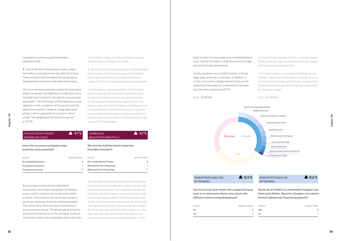hand, to allow the input data to be modified before it is put into the AI model, in order to prevent the *edge case* and still allow processing.

Usually, however, only a limited number of actual edge cases are known in advance. In addition, it is often not trivial to reliably prevent these, so the weighting of the question is estimated to be lower than the other questions at 9.7 %.

4.2.2. AI MODEL

<span id="page-26-0"></span>compared to achieve a good fit between data and model.

2. Due to the short development cycles, longerterm effects and interactions are often not known. These should at best be tested with prototypical developments and tests in the exploration phase.

The more extensive and open-ended the exploration phase, the greater the likelihood of creating a robust AI model well-matched to the data for the particular application. The total length of the exploration phase depends on the complexity of the solution and the application scenario. However, a long exploration phase is still no guarantee for a good or robust model. The weighting of the question was set at 12.9 %.

By accurately testing the AI model before introduction, the model's developers will already know in which situations the model works better or worse. The situations that are known to pose a particular challenge should be treated separately. This can be done either during *pre-processing* or during *post-processing.* The advantage of doing this during *pre-processing* is, on the one hand, to ensure that the AI model is not overloaded, and on the other sie in das KI-Modell gegeben werden – modifiziert werden können, damit der *Edge Case* verhindert wird und trotzdem eine Prozessierung stattfinden kann.

In der Regel ist jedoch nur eine begrenzte Menge der tatsächlichen *Edge Cases* vorher bekannt. Zusätzlich ist es oft nicht trivial diese zuverlässig zu verhindern, deswegen wird die Gewichtung der Frage mit 9,7 % niedriger eingeschätzt als die anderen Fragen.

4.2.2. KI-MODELL

und verglichen werden, um eine gute Übereinstimmung zwischen Daten und Modell zu erreichen.

2. Durch die kurzen Entwicklungszyklen sind längerfristige Auswirkungen und Wechselwirkungen oft nicht bekannt. Diese sollten bestenfalls mit prototypischen Entwicklungen und Tests in der Explorationsphase erprobt werden.

Je umfangreicher und ergebnisoffener die Explorationsphase ist, desto größer ist die Wahrscheinlichkeit, dass ein robustes KI-Modell entsteht, das gut auf die Daten für den jeweiligen Anwendungsfall abgestimmt ist. Die absolute Länge der Explorationsphase ist abhängig von der Lösungskomplexität und des Einsatzszenarios. Insgesamt ist eine lange Explorationsphase trotzdem kein Garant für ein gutes oder robustes Modell. Die Gewichtung der Frage wurde auf 12,9 % festgelegt.

Durch genaues Testen des KI-Modells vor der Einführung ist im besten Fall bereits bekannt, in welcher Situation das Modell besser funktioniert und in welcher schlechter. Die Situationen, die dafür bekannt sind, eine besonders große Herausforderung darzustellen, sollten separat behandelt werden. Dies kann entweder während des *Pre-Processings*  oder während des *Post-Processings* durchgeführt werden. Der Vorteil dies während des *Pre-Processings* zu tun, liegt darin, dass einerseits das KI-Modell nicht beansprucht wird und andererseits, dass so die Eingabedaten – bevor

### VORBEUGEN BEKANNTER GRENZFÄLLE

### Wie wird das Auftreten bereits bekannter Grenzfälle verhindert?

| Antwort                       | Antwort-Faktor |
|-------------------------------|----------------|
| Kein standardisierter Prozess |                |
| Während des Post-Processings  |                |
| Während des Pre-Processings   |                |

**9,7 %**

### PREVENTION OF KNOWN BORDERLINE CASES

How is the occurrence of already known borderline cases prevented?

| Answer                  | Response Factor |
|-------------------------|-----------------|
| No standardized process |                 |
| During post-processing  |                 |
| During pre-processing   |                 |

**9.7 %**

Wurde das KI-Modell mit unerwarteten Eingaben (wie *Adversarial Attacks* , Rauschen, Eingaben mit anderem Kontext) während der Entwicklung getestet?



| Antwort | Antwort-Faktor |
|---------|----------------|
| Nein    |                |
| Ja      |                |



| Answer | Response Factor |
|--------|-----------------|
| No     |                 |
| Yes    |                 |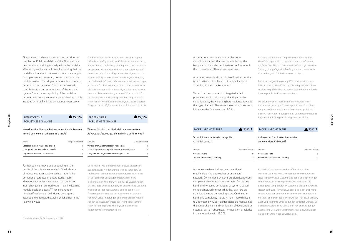An untargeted attack is a source class misclassification attack that aims to misclassify the benign input by adding an interference. The input is then moved to a different, random class.

A targeted attack is also a misclassification, but this type of attack shifts the input to a specific class according to the attacker's intent.

Since it can be assumed that targeted attacks pursue a specific malicious goal with particular classifications, the weighting here is aligned towards this type of attack. Therefore, the result of the check influences the final result by 15.0 %.

AI models are based either on conventional machine learning approaches or on a neural network. Conventional systems are significantly less complex and solve less complex tasks. On the one hand, the increased complexity of systems based on neural networks means that they can take on significantly more demanding tasks. On the other hand, this complexity makes it much more difficult to understand why certain decisions are made. Since the comprehension and verification of decisions is an essential part of robustness, this question is included in the evaluation with 15.0 %.

The process of *adversarial attacks*, as described in the chapter Public availability of the AI model, can

be used during training to analyze how the model is affected by such an attack. Results showing that the [model is vulnerable to](#page-7-0) *adversarial attacks* are helpful for implementing necessary precautions based on this information. Focusing on a more robust process, rather than the derivation from such an analysis, contributes to a better robustness of the whole AI system. Since the susceptibility of the model to targeted attacks is an essential point, checking this is included with 12.5 % in the *actual robustness score.*

Further points are awarded depending on the results of the robustness analysis. One indicator of robustness against adversarial attacks is the detection of targeted or untargeted attacks. Many recent studies have shown that unnoticed input changes can arbitrarily alter machine learning models' decision output.17 These changes or misclassifications can be induced by targeted attacks and untargeted attacks, which differ in the following ways:

17 Carlini & Wagner, 2017b; Szegedy et al., 2014

Ein nicht-zielgerichteter Angriff ist ein Angriff zur Fehlklassifizierung der Ursprungsklasse, der darauf abzielt, die fehlerfreie Eingabe falsch zu klassifizieren, indem eine Störung hinzugefügt wird. Die Eingabe wird daraufhin in eine andere, willkürliche Klasse verschoben.

Bei einem zielgerichteten Angriff handelt es sich ebenfalls um eine Misklassifizierung. Allerdings wird bei einem solchen Angriff die Eingabe nach Absicht der Angreifenden in eine spezifische Klasse verschoben.

Da anzunehmen ist, dass zielgerichtete Angriffe ein bestimmtes bösartiges Ziel mit spezifischen Klassifizierungen verfolgen, wird hier die Gewichtung gezielt auf diese Art des Angriffs ausgerichtet. Daher beeinflusst das Ergebnis der Prüfung das Endergebnis mit 15,0 %.

KI-Modelle basieren entweder auf herkömmlichen Machine-Learning-Ansätzen oder auf einem neuronalen Netz. Herkömmliche Systeme sind dabei deutlich weniger komplex und lösen weniger komplexe Aufgaben. Die gesteigerte Komplexität von Systemen, die auf neuronalen Netzen aufbauen, führt dazu, dass sie deutlich anspruchsvollere Aufgaben übernehmen können. Diese Komplexität macht es aber auch deutlich schwieriger nachzuvollziehen, weshalb bestimmte Entscheidungen getroffen werden. Da das Nachvollziehen und Verifizieren von Entscheidungen wesentliche Bestandteile der Robustheit sind, fließt diese Frage mit 15,0 % in die Bewertung ein.

Der Prozess von *Adversarial Attacks*, wie er im Kapitel öffentliche Verfügbarkeit des KI-Modells beschrieben ist, kann während des Trainings dafür genutzt werden, um zu analysieren, wie das Modell durch einen solchen Angriff [beeinflusst wird. Selbst Ergebnisse, die zeigen, dass das](#page-7-0)  Modell anfällig für *Adversarial Attacks* ist, sind hilfreich, um basierend auf dieser Information andere Vorkehrungen zu treffen. Das Fokussieren auf einen robusteren Prozess als Ableitung aus solch einer Analyse trägt somit zu einer besseren Robustheit des gesamten KI-Systems bei. Da die Anfälligkeit des Modells gegenüber zielgerichteten Angriffen ein wesentlicher Punkt ist, fließt diese Überprüfung dessen mit 12,5 % in den *Actual Robustness Score* ein.

Je nachdem, wie die Robustheitsanalyse tatsächlich ausgefallen ist, werden weitere Punkte vergeben. Ein Indikator für die Robustheit gegen Adversarial Attacks ist das Erkennen von zielgerichteten, bzw. nichtzielgerichteten Angriffen. Viele aktuelle Studien haben gezeigt, dass Entscheidungen, die von Machine-Learning-Modellen ausgegeben werden, durch unbemerkte Änderungen der Eingabe beliebig verändert werden können.17 Diese Änderungen oder Misklassifizierungen können durch zielgerichtete oder nicht-zielgerichtete Angriffe herbeigeführt werden, wobei sich diese folgendermaßen unterscheiden:

RESULT OF THE

ROBUSTNESS ANALYSIS

### **15.0** %

How does the AI model behave when it is deliberately misled by means of *[adversarial attacks](#page-7-0)*?

| Answer                               | Response Factor |
|--------------------------------------|-----------------|
| Detected, system reacts as planned   |                 |
| Untargeted attacks can be successful | U               |
| Targeted attacks can be successful   | -1              |

### ERGEBNIS DER ROBUSTHEITSANALYSE

Wie verhält sich das KI-Modell, wenn es mittels *[Adversarial Attacks](#page-7-0)* gezielt in die Irre geführt wird?



| Antwort                                               | Antwort-Faktor |
|-------------------------------------------------------|----------------|
| Wird erkannt, System reagiert wie geplant             |                |
| Nicht-zielgerichtete Angriffe können erfolgreich sein |                |
| Zielgerichtete Angriffe können erfolgreich sein       | -1             |

### MODELLARCHITEKTUR

### Auf welcher Architektur basiert das angewendete KI-Modell?

| Antwort                        | Antwort-Faktor |
|--------------------------------|----------------|
| Neuronales Netz                |                |
| Herkömmliches Machine Learning |                |

**15,0 %**

#### MODEL ARCHITECTURE

On which architecture is the applied AI model based?

| Answer                        | Response Factor |
|-------------------------------|-----------------|
| Neural network                |                 |
| Conventional machine learning |                 |

#### **15.0 %**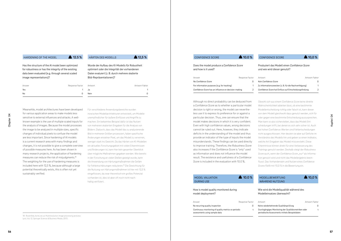Meanwhile, model architectures have been developed for various application areas to make models less sensitive to external influences and attacks. A wellknown example is the use of multiple scaled inputs for the analysis of images. Because the model processes the image to be analyzed in multiple sizes, specific changes of individual pixels to confuse the model are less important. Since hardening of AI models is a current research area with many findings and changes, it is not possible to give a complete overview of possible measures here. As has been shown in many research projects, the application of hardening measures can reduce the risk of misjudgments.18 The weighting for the use of hardening measures is included here with 12,5 %, because although a large potential theoretically exists, this is often not yet sustainably verified.

18 Rosenfeld, Azriel, ed. al. Multiresolution image processing and analysis. Vol. 12. Springer Science & Business Media. 2013.

Although no direct probability can be deduced from a *Confidence Score* as to whether a particular model decision is right or wrong, the model can nevertheless use it to express its preference for or against a particular decision. Thus, one can ensure that the model makes decisions in which it is very confident. Even with high confidence values, wrong decisions cannot be ruled out. Here, however, they indicate deficits in the understanding of the model and thus provide an indicator of the type of inputs the model misunderstands. These findings can be used directly to improve training. Therefore, the *Robustness Score* also increases if the *Confidence Score* is "only" used as information and does not influence the model result. The existence and usefulness of a *Confidence Score* is included in the evaluation with 10.0 %.

### Wie wird die Modellqualität während des Modelleinsatzes überwacht?

Obwohl sich aus einem *Confidence Score* keine direkte Wahrscheinlichkeit ableiten lässt, ob eine bestimmte Modellentscheidung richtig oder falsch ist, kann dieser von dem Modell gleichwohl dazu genutzt werden, sich für oder gegen eine bestimmte Entscheidung auszusprechen. Man kann so also sicherstellen, dass das Modell Entscheidungen trifft, bei denen es sich sehr sicher ist. Auch bei hohen Confidence-Werten sind Fehlentscheidungen nicht ausgeschlossen. Hier deuten sie aber auf Defizite im Verständnis des Modells hin und geben so einen Indikator, welche Art Eingaben das Modell missversteht. Diese Erkenntnisse können direkt für eine Verbesserung des Trainings genutzt werden. Deshalb steigt der *Robustness Score* auch, wenn der *Confidence Score* "nur" als Information genutzt wird und nicht das Modellergebnis beeinflusst. Das Vorhandensein und Nutzen eines *Confidence Scores* fließt mit 10,0 % in die Bewertung ein.

Für verschiedene Anwendungsbereiche wurden inzwischen Modellarchitekturen entwickelt, um Modelle unempfindlicher für äußere Einflüsse und Angriffe zu machen. Ein bekanntes Beispiel dafür ist das Nutzen von mehreren skalierten Eingaben für die Analyse von Bildern. Dadurch, dass das Modell das zu analysierende Bild in mehreren Größen prozessiert, fallen spezifische Änderungen einzelner Pixel, um das Modell zu verwirren, weniger stark ins Gewicht. Da das Härten von KI-Modellen ein aktuelles Forschungsgebiet mit vielen Erkenntnissen und Änderungen ist, kann hier kein gesamter Überblick über mögliche Maßnahmen gegeben werden. Wie bereits in der Forschung an vielen Stellen gezeigt wurde, kann die Anwendung von Härtungsmaßnahmen die Gefahr für Fehleinschätzungen reduzieren.18 Die Gewichtung für die Nutzung von Härtungsmaßnahmen ist hier mit 12,5% %eingeflossen, da zwar theoretisch ein großes Potenzial vorhanden ist, dies ist aber oft noch nicht nachhaltig verifiziert.

### CONFIDENCE SCORE

### **2** 10.0 %

### Produziert das Modell einen *Confidence Score*  und wie wird dieser genutzt?

| Antwort                                                | Antwort-Faktor |
|--------------------------------------------------------|----------------|
| Kein Confidence Score                                  |                |
| Zu Informationszwecken (z. B. für die Nachverfolgung)  | 1              |
| Confidence Score hat Einfluss auf Entscheidungsfindung | 2              |

CONFIDENCE SCORE

Does the model produce a *Confidence Score* and how is it used?

| Answer                                               | Response Factor |
|------------------------------------------------------|-----------------|
| No Confidence Score                                  |                 |
| For information purposes (e.g. for tracking)         |                 |
| Confidence Score has an influence on decision-making |                 |

### **10.0 %**

### MODELLBEWERTUNG WÄHREND NUTZUNG



 MODEL VALUATION DURING USE

### **2** 10.0 %

How is model quality monitored during model deployment?

| ır. | Antwort                                                                                              | Antwort-Faktor |
|-----|------------------------------------------------------------------------------------------------------|----------------|
|     | Keine wiederkehrende Qualitätsprüfung                                                                | U              |
|     | Durchgängiges Monitoring der Qualitätsmetriken oder<br>periodische Assessments mittels Beispieldaten | 1              |

| Response Factor |
|-----------------|
|                 |
|                 |
|                 |

HÄRTEN DES MODELLS

Wurde der Aufbau des KI-Modells für Robustheit optimiert oder die Integrität der vorhandenen Daten evaluiert (z. B. durch mehrere skalierte

**2** 12.5 %

Bild-Repräsentationen)?

Antwort-Faktor

1 0

#### HARDENING OF THE MODEL

| Yes<br>1.<br>Ja<br>No<br>Nein<br>n. | Answer | Response Factor Antwort |  |
|-------------------------------------|--------|-------------------------|--|
|                                     |        |                         |  |
|                                     |        |                         |  |

Has the structure of the AI model been optimized for robustness or has the integrity of the existing data been evaluated (e.g. through several scaled image representations)?

**12.5 %**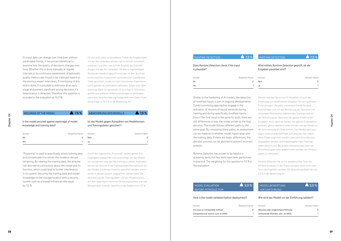Ähnlich wie das Härten von KI-Modellen ist auch die Erkennung von modifizierten Eingaben Teil von laufenden Entwicklungen. Aktuelle, vielversprechende Ansätze beschäftigen sich mit der Aktivierung der Neuronen von neuronalen Netzwerken während des Trainings und mit der Aktivierung der Neuronen bei gezielt modifizierten Eingaben. Auch wenn bei beiden das gleiche Endergebnis entsteht, gibt es dennoch Unterschiede, wie das Modell zu der Entscheidung am Ende kommt. Das Modell geht sozusagen unterschiedliche Pfade zum gleichen Ziel. Indem diese Pfade verglichen werden, kann eine Einschätzung abgegeben werden, ob Modelleingaben den Trainingsdaten ähnlich sind. Bei groben Abweichungen kann der Entscheidungsprozess abgebrochen werden, um Fehlausgaben zu verhindern.

*Runtime Detection* hat sich in akademischen Tests als hilfreich erwiesen, in der Praxis sind aber noch nicht viele Tests durchgeführt worden. Die Gewichtung fließt hier mit 7,5 % in die Bewertung ein.

Similar to the hardening of AI models, the detection of modified inputs is part of ongoing developments. Current promising approaches engage in the activation of neurons of neural networks during training and during specifically modified inputs. Even if the final result is the same for both, there are still differences in how the model arrives at the final decision. The model follows different paths to the same goal. By comparing these paths, an assessment can be made as to whether model inputs align with the training data. If there are major differences, the decision process can be aborted to prevent incorrect outputs.

*Runtime Detection* has proven to be helpful in academic tests, but few tests have been performed in practice. The weighting for this question is 7.5 % in the evaluation.

Durch das sogenannte "Poisoning" werden gezielt Trainingsdaten angegriffen und verunreinigt, um das Modell neu anzulernen oder das Neutraining zu stören. Außerdem können bei Einsicht in die Trainingsdaten Rückschlüsse auf das Modell und dessen Funktion getroffen werden, womit weiter in dessen System eingegriffen werden kann. Die Absicherung der Trainingsdaten und des Modellwissens auf dem Speicherort durch ein Sicherungssystem, wie zum Beispiel einer Firewall, beeinflusst das Ergebnis mit 7,5 %.

As input data can change over time even without predictable trends, it has proven beneficial to examine how the quality of decisions changes over time. Whether this is done manually at regular intervals or by continuous assessment of automatic quality metrics was found to be irrelevant based on the previous expert interviews. If monitoring of this kind is done, it is possible to intervene at an early stage and prevent significant wrong decisions if a deterioration is detected. Therefore this question is included in the evaluation at 10.0 %.

"Poisoning" is used to specifically attack training data and contaminate it to retrain the model or disrupt retraining. By viewing the training data, the attacker can also derive conclusions about the model and its function, which could lead to further interference in its system. Securing the training data and model knowledge on the storage location with a security system such as a firewall influences the result by 7.5 %.

Da sich auch ohne vorhersehbare Trends die Eingabedaten mit der Zeit verändern können, hat es sich als vorteilhaft erwiesen, zu prüfen, wie sich die Qualität der Entscheidungen mit der Zeit verändert. Ob dies in regelmäßigen Abständen händisch geprüft wird oder ob dies durch ein kontinuierliches Assessment automatischer Qualitätsmetriken geschieht, wurde von den interviewten Expertinnen und Experten als unerheblich befunden. Sofern eine Überwachung dieser Art geschieht, ist es möglich, früh einzugreifen und stärkere Fehlentscheidungen zu verhindern, wenn eine Verschlechterung festgestellt wird. Daher fließt

diese Frage zu 10,0 % in die Bewertung ein.

### RUNTIME DETECTION

### Wird mittels *Runtime Detection* geprüft, ob die Eingaben plausibel sind?

**7,5 %**

### RUNTIME DETECTION

| Answer | Response Factor Antwort |      | Antwort-Faktor |
|--------|-------------------------|------|----------------|
| No     |                         | Nein |                |
| Yes    |                         | - Ja | $\overline{ }$ |

### Does *Runtime Detection* check if the input is plausible?

**7.5 %**

### MODELLBEWERTUNG VOR EINFÜHRUNG

### Wie wird das Modell vor der Einführung validiert?

| Antwort                             | Antwort-Faktor |
|-------------------------------------|----------------|
| Akkuranz oder vergleichbare Methode |                |
| Umfassende Metriken, wie z. B. AROC |                |

**5,0 %**

#### How is the model validated before deployment?

#### MODEL EVALUATION BEFORE INTRODUCTION **5.0 %**

| Answer                             | Response Factor |
|------------------------------------|-----------------|
| Accuracy or comparable method      |                 |
| Comprehensive metrics such as AROC |                 |

### ABSICHERUNG DES MODELLS

Ist das Modell gegen Ausspähen von Modellwissen und Trainingsdaten gesichert?

**7,5 %**

| Antwort | Antwort-Faktor |
|---------|----------------|
| Nein    |                |
| Ja      |                |

SECURING OF THE MODEL

Is the model secured against espionage of model knowledge and training data?

### **7.5 %**

| Answer | Response Factor |
|--------|-----------------|
| No     |                 |
| Yes    |                 |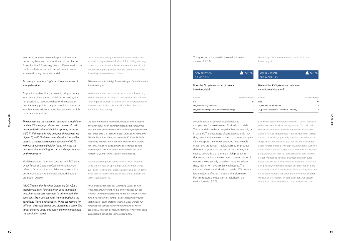Diese Frage fließt mit einem Wert von 5,0 % in die Bewertung ein.

Eine Kombination mehrerer Modelle hilft dabei, Schwachstellen einzelner Modelle auszugleichen. Diese Modelle können entweder sequenziell oder parallel angeordnet werden. Parallel angeordnete Modelle haben den Vorteil, dass sie sich nicht gegenseitig beeinflussen und man so vergleichen kann, welche Ausgaben die nebeneinander angeordneten Modelle jeweils produziert haben. Wenn einzelne Modelle andere Ausgaben als die restlichen Modelle produzieren, kann man gut schlussfolgern, dass hier mit großer Wahrscheinlichkeit Fehlentscheidungen aufgetreten sind. Da alle dieser Modelle aber grundsätzlich auf den gleichen, vorhandenen Daten basieren, haben diese oft auch ähnliche Schwachstellen. Die Situation, dass sich nur einzelne Modelle von einer großen Mehrheit anderer Modelle unterscheiden, ist deshalb selten. Aus diesem Grund fließt diese Frage mit 5,0 % in die Wertung ein.

Um zu bewerten, wie gut ein Vorhersagemodell ist, gibt es – wie im Kapitel *Falsch-Positive & Falsch-Negative* angeschnitten – verschiedene Bewertungsmethoden, die bei der Bewertung des gleichen Modells zu sehr unterschiedlichen Ergebnissen kommen können.

### *Akkuranz = Anzahl richtige Entscheidungen / Anzahl falsche Entscheidungen*

Wie bereits vorher beschrieben, ist es bei der Bewertung mittels Akkuranz nicht möglich zu erkennen, ob das Bewertungsergebnis tatsächlich auf ein gutes Vorhersagemodell hinweist oder ob eine sehr vorteilhafte Datenbasis mit hoher Base Rate vorliegt.

*Die Base Rate ist die maximale Akkuranz, die ein Modell erreichen kann, wenn es immer dasselbe Ergebnis produziert. Bei zwei gleichverteilten Entscheidungsmöglichkeiten liegt diese bei 50 %. Bei einem sehr ungleichen Verhältnis fällt die Base Rate höher aus. Wenn in 90 % der Fälle Entscheidung 1 korrekt wäre, kann ein Modell eine Akkuranz von 90 % erreichen, ohne jegliche Entscheidungslogik zu benötigen. Ob die Akkuranz eines Modells gut oder schlecht ist, hängt immer von der Base Rate ab.*

Modellbewertungsfunktionen, wie die AROC-Methode (Area under Receiver Operating Curve), nehmen Bezug auf Falsch-Positive und Falsch-Negative und lassen damit einen deutlich besseren Rückschluss auf die tatsächliche Vorhersagequalität zu.

*AROC (Area under Receiver Operating Curve) ist eine Modellbewertungsfunktion, die oft Verwendung in der Medizin- und Pharmaforschung findet. Bei dieser Methode wird die Sensitivität (Richtig-Positiv-Rate) mit der Spezifität (Falsch-Positiv-Rate) verglichen. Diese werden für verschiedene Schwellenwerte gebildet und als Kurve geplottet. Je größer die Fläche unter dieser Kurve ist, desto aussagekräftiger ist das Vorhersagemodell.*

This question is included in the evaluation with a value of 5.0 %.

#### **COMBINATION**  OF MODELS **5.0 %**

A combination of several models helps to compensate for weaknesses of individual models. These models can be arranged either sequentially or in parallel. The advantage of parallel models is that they do not influence each other, so you can compare which outputs the models arranged next to each other have produced. If individual models produce different outputs than the rest of the models, it is easy to conclude that there is a high probability that wrong decisions were made. However, since all models are essentially based on the same existing data, they often have similar weaknesses. The situation where only individual models differ from a large majority of other models is therefore rare. For this reason, the question is included in the evaluation with 5.0 %.

In order to evaluate how well a prediction model performs, there are − as mentioned in the chapter *False-Positive & False-Negative* − different evaluation methods that can come to very different results when evaluating the same model.

### *Accuracy = number of right decisions / number of wrong decisions*

As previously described, when only using accuracy as a means of evaluating model performance, it is not possible to recognize whether the evaluation result actually points to a good prediction model or whether a very advantageous database with a high base rate is available.

*The base rate is the maximum accuracy a model can achieve if it always produces the same result. With two equally distributed decision options, this rate is 50 %. If the ratio is very unequal, the base rate is higher. If, in 90 % of the cases, decision 1 would be correct, a model can reach an accuracy of 90 %without needing any decision logic. Whether the accuracy of a model is good or bad always depends on the base rate.*

Model evaluation functions such as the AROC (*Area under Receiver Operating Curve*) method, which refers to false positives and false negatives, allow better conclusions to be drawn about the actual prediction quality.

*AROC (Area under Receiver Operating Curve) is a model evaluation function often used in medical and pharmaceutical research. In this method, the sensitivity (true-positive rate) is compared with the specificity (false-positive rate). These are formed for different threshold values and plotted as a curve. The larger the area under this curve, the more meaningful the prediction model.*

### KOMBINATION AUS MODELLEN

### Besteht das KI-System aus mehreren verknüpften Modellen?

| Antwort                                     | Antwort-Faktor |
|---------------------------------------------|----------------|
| Nein                                        | O              |
| Ja, sequentiell verbunden                   |                |
| Ja, parallel-geschaltet (Ensemble Learning) | っ              |

**5,0 %**

Does the AI system consist of several linked models?

| Answer                                         | Response Factor |
|------------------------------------------------|-----------------|
| No                                             |                 |
| Yes, sequentially connected                    |                 |
| Yes, connected in parallel (Ensemble Learning) |                 |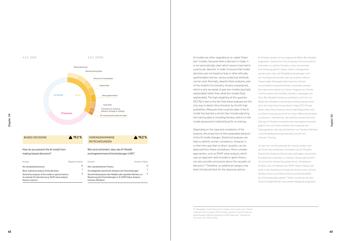AI models are often regarded as so-called "black box" models, because when a decision is made, it is not automatically clear which reasons have led to a particular decision. In order to ensure that model decisions are not based on bias or other ethically questionable motives, various analytical methods can be used. Normally, despite these analyses, part of the model's functionality remains unexplained, which is why we speak of *grey box* models (partially explainable) rather than *white box models* (fully explainable). The high weighting of this question (19.2 %) is due to the fact that these analyses are the only way to detect discrimination by AI with high probability. Measures that could be taken if the AI model has learned a certain bias include adjusting the training data or including fairness metrics in the model assessment method *(loss)* for re-training.

Depending on the type and complexity of the analysis, the proportion of the explainable behavior of the AI model changes. Statistical analyses can help to identify certain correlations. However, it is often the case that no direct causality can be deduced from these correlations. More complex approaches, such as SHAP value analysis, which uses an approach well-founded in game theory, can also provide conclusions about the causality of decisions.19 Therefore, an additional category has been introduced here for the response options.

KI-Modelle werden oft als sogenannte *Black-Box-Modelle*  angesehen, da bei einer Entscheidung nicht automatisch erkennbar ist, welche Gründe zu einer bestimmten Entscheidung geführt haben. Damit sichergestellt werden kann, dass die Modellentscheidungen nicht auf Voreingenommenheit oder auf anderen ethisch fragwürdigen Beweggründen basieren, können verschiedene Analysemethoden verwendet werden. Normalerweise bleibt trotz dieser Analysen ein Teil der Funktionsweise des Modells unerklärt, weswegen von *Grey-Box-Modellen* (teilweise erklärbar) und nicht von *White-Box-Modellen* (vollständig erklärbar) gesprochen wird. Die hohe Gewichtung dieser Frage (19,2 %) liegt daran, dass diese Analysen die einzige Möglichkeit sind, um Diskriminierung durch KI mit hoher Wahrscheinlichkeit zu erkennen. Maßnahmen, die ergriffen werden könnten, falls das KI-Modell eine bestimmte Voreingenommenheit gelernt hat, sind unter anderem das Anpassen der Trainingsdaten oder das Aufnehmen von Fairness-Metriken in die Modellbewertungsmethode *(Loss)* für ein erneutes Training.

Je nach Art und Komplexität der Analyse ändert sich der Anteil des erklärbaren Verhaltens des KI-Modells. Statistische Analysen können dazu beitragen, bestimmte Korrelationen erkennbar zu machen. Daraus geht jedoch oft noch keine direkte Kausalität hervor. Komplexere Ansätze, wie zum Beispiel die SHAP-Value-Analyse, die einen in der Spieltheorie fundierten Ansatz nutzt, können darüber hinaus auch Rückschlüsse auf die Kausalität der Entscheidungen geben.19 Daher wurde hier bei den Antwortmöglichkeiten eine weitere Kategorie eingeführt.

<span id="page-31-0"></span>

<sup>19</sup> Mangalathu, Sujith, Seong-Hoon Hwang, and Jong-Su Jeon. "Failure mode and effects analysis of RC members based on machine-learningbased SHapley Additive exPlanations (SHAP) approach." Engineering Structures 219: 110927. 2020.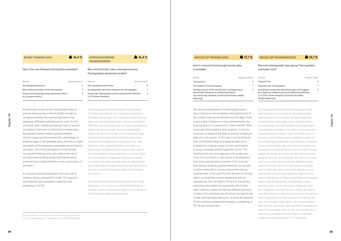Die Menge und die Balance der Trainingsdaten haben einen direkten Einfluss auf die Komplexität und Signifikanz der Erkenntnisse, die aus den Daten abgeleitet werden können. Zudem gibt es einen direkten Einfluss, wie repräsentativ die Trainingsdaten sind. Ob genügend Trainingsdaten vorhanden sind, sollte in vorausgehenden Analysen überprüft werden. Unter Umständen muss im Anschluss noch ein Balancing durchgeführt werden, um eine ausgewogene Datenlage in allen Klassen zu erreichen. So kann erzielt werden, dass ein ausreichend großes und ausbalanciertes Datenset für ein robustes Modell vorliegt, ungeachtet dessen aber schon der Optimierungsprozess gestartet wird. Der so entstehende *Trial-and-Error-*Ansatz wird im Laufe der Entwicklung meist ebenfalls zu dem Ergebnis kommen, dass mehr Trainingsdaten benötigt werden. Wenn dies aber schon vorher bekannt ist, kann während der Entwicklung ein größeres Augenmerk auf andere Maßnahmen zur Steigerung der Robustheit gelegt werden. Falls die Menge der Trainingsdaten so klein gewählt ist, dass bestimmte Gesetzmäßigkeiten darin nicht abgebildet sind, kann das dazu führen, dass die fehlende Robustheit erst während der Erprobung mit weiteren Daten festgestellt wird. Ebenfalls kann ein Datenset, welches unterschiedlich viele Daten in den einzelnen Klassifikationen hat, dazu führen, dass das Modell voreingenommene Entscheidungen trifft. Um den Aufwand der daraus folgenden grundlegenden Änderungen zu verhindern, wurde hier eine Gewichtung von 13,7 % gewählt.

The amount and balance of training data have a direct impact on the complexity and significance of the insights that can be derived from the data. There is also a direct influence on how representative the training data is. It is essential to check whether there is enough training data in prior analyses. It may be necessary to balance the data to achieve a balanced data set in all classes. In this way, it can be ensured that a sufficiently large and balanced data set is available for a robust model, but the optimization process is already started regardless of this. The resulting *trial-and-error* approach will usually also come to a conclusion in the course of development that more training data is needed. If this is known beforehand, however, greater attention can be paid to other measures to increase robustness during development. In the case that the amount of training data is so small that certain regularities are not represented, this can lead to the lack of robustness only being discovered during testing with further data. Likewise, a data set that has different amounts of data in the individual classifications can lead to the model making biased decisions. To avoid the expense of the resulting fundamental changes, a weighting of 13.7 % was chosen here.

 $\overline{a}$ 

A preliminary review of the training data helps to prevent learning bias in the AI model. In order to recognize whether the training data form a fair database, different methods can be used. On the one hand, basic statistical analyses help to uncover correlations that point to distorted or biased data. Recognized *fairness metrics* analyze whether certain subgroups show systematic advantages or disadvantages in the available data, and help to make the results of the analyses comparable across several use cases. Since they are based on scientifically recognized methods, they also reduce the risk of the data analysis being (indirectly) influenced by potential bias of *data scientists* or the composition of the team.20

A solid and unbiased database is the only way to create a robust, unbiased AI model. This question was therefore also assigned a relatively high weighting of 16.4 %.

20 Garg, Pratyush, John Villasenor, and Virginia Foggo. "Fairness Metrics: A Comparative Analysis." arXiv preprint arXiv:2001.07864. 2020. Eine vorausgehende Überprüfung der Trainingsdaten hilft dabei, dem Erlernen von Voreingenommenheit im KI-Modell vorzubeugen. Um zu erkennen, ob die Trainingsdaten eine faire Datenbasis bilden, können verschiedene Methoden zum Einsatz kommen. Hier helfen grundlegende statistische Analysen dabei, Zusammenhänge aufzudecken, die auf verzerrte oder vorurteilsbelastete Daten hinweisen. Anerkannte *Fairness-Metriken* analysieren, ob bestimmte Untergruppen systematische Vor- oder Nachteile in den vorliegenden Daten aufweisen und helfen dabei, die Ergebnisse der Analysen über mehrere Anwendungsfälle hinweg vergleichbar zu machen. Da sie auf wissenschaftlich anerkannten Methoden basieren, ist zusätzlich die Gefahr geringer, dass die Datenanalyse durch potenzielle Voreingenommenheit von *Data Scientists* oder die Zusammensetzung des Teams (indirekt) beeinflusst wird.20

Eine solide und vorurteilsfreie Datenbasis ist die einzige Möglichkeit, ein robustes, vorurteilsfreies KI-Modell zu erstellen, dadurch wurde diese Frage mit einem Anteil von 16,4 % ebenfalls relativ hoch gewichtet.

### VOREINGENOMMENE TRAININGSDATEN

Wie wird verhindert, dass voreingenommene Trainingsdaten verwendet werden?

**16,4 %**

#### MENGE DER TRAININGSDATEN

### Wie wird sichergestellt, dass genug Trainingsdaten vorhanden sind?



#### BIASED TRAINING DATA

### **16.4** %

How is the use of biased training data prevented?

### AMOUNT OF TRAINING DATA

How is it ensured that enough training data is available?

**13.7 %**

| Antwort                                                                                                                                                                                     | Antwort-Faktor |
|---------------------------------------------------------------------------------------------------------------------------------------------------------------------------------------------|----------------|
| Trial and Error                                                                                                                                                                             | Ω              |
| Voranalyse der Trainingsdaten                                                                                                                                                               | 1              |
| Ausführliche Analyse der Klassifizierungen und Ausgleich<br>der möglichen Imbalance durch eine Balancing-Methode<br>(z. B. Over-/Under-Sampling, Clustering-Techniken,<br>Weight-Balancing) | 2              |

| Antwort                                                                                 | Antwort-Faktor |
|-----------------------------------------------------------------------------------------|----------------|
| Kein standardisierter Prozess                                                           | O              |
| Grundlegende statistische Analysen der Trainingsdaten                                   | 1              |
| Analyse der Trainingsdaten anhand spezialisierter Metriken<br>(z. B. Fairness-Metriken) | 2              |

| Answer                                                                                                                                                                              | Response Factor |
|-------------------------------------------------------------------------------------------------------------------------------------------------------------------------------------|-----------------|
| Trial and error                                                                                                                                                                     |                 |
| Pre-analysis of the training data                                                                                                                                                   | 1               |
| Detailed analysis of the classifications and balancing of<br>the possible imbalance by a balancing method<br>(e.g. over/under-sampling, clustering techniques, weight<br>balancing) | 2               |

| Answer                                                                         | Response Factor |
|--------------------------------------------------------------------------------|-----------------|
| No standardized process                                                        |                 |
| Basic statistical analysis of the training data                                |                 |
| Analysis of training data using specialized metrics<br>(e.g. fairness metrics) |                 |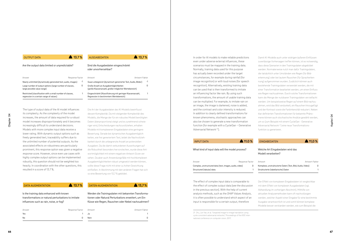In order for AI models to make reliable predictions even under adverse external influences, these scenarios must be mapped in the training data. Normally, training data used for this purpose has actually been recorded under the target circumstances, for example during rainfall (for image recognition) or with loud noises (for speech recognition). Alternatively, existing training data can be used that is then transformed to imitate an influencing factor like rain. By using such transformations, the amount of usable training data can be multiplied. For example, to imitate rain on an image, the image is darkened, noise is added, and the contrast and color intensity is reduced. In addition to clearly defined transformations for known phenomena, stochastic approaches can also be chosen to generate a new transformation function (for example with a CycleGan − Generative Adversarial Network 21).

The effect of complex input data is comparable to the effect of complex output data (see the discussion in the previous section). With the help of current analysis methods, such as the *SHAP Values Analysis*, it is often possible to understand which aspect of an input is responsible for a certain output, therefore

21 Zhu, Jun-Yan, et al. "Unpaired image-to-image translation using cycle-consistent adversarial networks." Proceedings of the IEEE international conference on computer vision. 2017.

Damit KI-Modelle auch unter widrigen äußeren Einflüssen zuverlässige Vorhersagen treffen können, ist es notwendig, dass diese Szenarien in den Trainingsdaten abgebildet werden. Normalerweise nutzt man dafür Trainingsdaten, die tatsächlich unter Umständen wie Regen (für Bilderkennung) oder bei lautem Rauschen (für Spracherkennung) aufgenommen wurden. Zusätzlich können auch bestehende Trainingsdaten verwendet werden, die mit einer Transformation bearbeitet werden, um einen Einfluss wie Regen nachzuahmen. Durch solche Transformationen kann die Menge der nutzbaren Trainingsdaten vervielfacht werden. Um beispielsweise Regen auf einem Bild nachzuahmen, wird das Bild verdunkelt, ein Rauschen hinzugefügt und der Kontrast sowie die Farbintensität reduziert. Neben klar definierten Transformationen für bekannte Phänomene können auch stochastische Ansätze gewählt werden, um so (zum Beispiel mit einem CycleGan - Generative Adversarial Network 21) eine neue Transformationsfunktion zu generieren.

### **FINGABEDATEN**

Der Effekt von komplexen Eingabedaten ist vergleichbar mit dem Effekt von komplexen Ausgabedaten (vgl. Abhandlung im vorherigen Abschnitt). Mithilfe von aktuellen Analysemethoden kann oft nachvollzogen werden, welcher Aspekt einer Eingabe für eine bestimmte Ausgabe verantwortlich ist und somit können komplexe Modelle besser verstanden werden, wie zum Beispiel die

Die Art der Ausgabedaten des KI-Modells beeinflusst dessen Komplexität. Da mit steigender Komplexität des Modells, die Menge der für ein robustes Modell benötigten Daten überproportional steigt und es zunehmend schwieriger wird, Entscheidungen nachzuvollziehen, erhalten Modelle mit komplexeren Eingabedaten eine geringere Bewertung. Gerade bei dynamischen Ausgabemöglichkeiten, wie frei generiertem Text, leidet die Nachvollziehbarkeit durch die unbegrenzte Anzahl an potenziellen Ausgaben. Da die damit verbundenen Auswirkungen auf die Robustheit besonders hervorstechen, wurde diese Antwortmöglichkeit mit einem negativen *Antwort-Score* versehen. Da aber auch Anwendungsfälle mit hochkomplexen Ausgabemöglichkeiten robust umgesetzt werden können, sollte diese Frage nicht mit einer zu hohen Gewichtung einfließen. In Abstimmung mit den anderen Fragen hat sich so eine Bewertung von 13,7 % gebildet.

#### DATA AUGMENTATION

### The type of output data of the AI model influences its complexity. As the complexity of the model increases, the amount of data required for a robust model increases disproportionately and it becomes increasingly difficult to understand decisions. Models with more complex input data receive a lower rating. With dynamic output options such as freely generated text, traceability suffers due to the unlimited number of potential outputs. As the associated effects on robustness are particularly prominent, this response option was given a negative *response score*. However, since even use cases with highly complex output options can be implemented

robustly, this question should not be weighted too heavily. In coordination with the other questions, this resulted in a score of 13.7 %.

### AUSGABEDATEN

#### Sind die Ausgabedaten eingeschränkt oder unvorhersehbar?

**13,7 %**

OUTPUT DATA

Are the output data limited or unpredictable?

Answer

**13.7 %**

| Answer                                                                                                 | Response Factor |     | Antwort                                                                                              | Antwort-Faktor |      |
|--------------------------------------------------------------------------------------------------------|-----------------|-----|------------------------------------------------------------------------------------------------------|----------------|------|
| Nearly unlimited (dynamically generated text, audio, images)                                           |                 | - 1 | Quasi unbegrenzt (dynamisch generierter Text, Audio, Bilder)                                         |                | $-1$ |
| Large number of output options (large number of classes,<br>large possible value range)                |                 |     | Große Anzahl an Ausgabemöglichkeiten<br>(große Klassenanzahl, großer möglicher Wertebereich)         |                |      |
| Restricted (classification with a small number of classes,<br>regression in a certain range of values) |                 |     | Eingeschränkt (Klassifizierung mit geringer Klassenanzahl,<br>Regression in bestimmtem Wertebereich) |                |      |

 $\mathsf{S}% _{T}=\mathsf{S}_{T}\!\left( a,b\right) ,\ \mathsf{S}_{T}=\mathsf{S}_{T}\!\left( a,b\right) ,\ \mathsf{S}_{T}=\mathsf{S}_{T}\!\left( a,b\right) ,\ \mathsf{S}_{T}=\mathsf{S}_{T}\!\left( a,b\right) ,\ \mathsf{S}_{T}=\mathsf{S}_{T}\!\left( a,b\right) ,\ \mathsf{S}_{T}=\mathsf{S}_{T}\!\left( a,b\right) ,\ \mathsf{S}_{T}=\mathsf{S}_{T}\!\left( a,b\right) ,\ \mathsf{S}_{T}=\mathsf{S}_{T}\!\left( a,b\right) ,\ \mathsf{S}_{T}=\math$ Chapter 04Chapter

DATEN-AUGMENTATION

Werden die Trainingsdaten mit bekannten Transformationen oder Natural Perturbations erweitert, um Einflüsse wie Regen, Rauschen oder Nebel nachzuahmen?

**13,7 %**

| Antwort     | Antwort-Faktor |
|-------------|----------------|
| Ja          |                |
| <b>Nein</b> | 0              |

Is the training data enhanced with known transformations or natural perturbations to imitate influences such as rain, noise, or fog?

#### **13.7 %**

| Answer | Response Factor |
|--------|-----------------|
| Yes    |                 |
| No     |                 |

### Welche Art Eingabedaten wird das Modell verarbeiten?

| Antwort-Faktor<br>Antwort                                  |    |
|------------------------------------------------------------|----|
| Komplexe, unstrukturierte Daten (Text, Bild, Audio, Video) | n. |
| Strukturierte (tabellarische) Daten                        |    |

#### INPUT DATA

#### What kind of input data will the model process?

| Answer                                                  | Response Factor |  |
|---------------------------------------------------------|-----------------|--|
| Complex, unstructured data (text, images, audio, video) |                 |  |
| Structured (tabular) data                               |                 |  |

**11.0 %**

**11.0 %**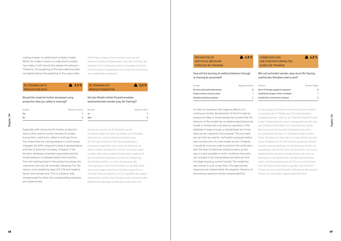Um den negativen Effekten einer kontinuierlichen Weiterentwicklung des KI-Modells durch Produktionsdaten entgegenzuwirken, sollte vor der Überführung des Modells in den Produktivbetrieb immer sichergestellt werden, dass das Verhalten des Modells nicht verschlechtert wurde. Bei einer ausreichend großen Datenbasis kann dafür ein standardisierter Satz von Testdaten erstellt werden. Dieser Testdatensatz kann dann vor jeder Einführung einer neuen Modellversion für die Verifizierung genutzt werden. Genauer wäre es allerdings, die Überprüfung mithilfe von ausgiebigen statistischen Tests durchzuführen, da so auch Gegebenheiten überprüft werden können, die nicht von Anfang an im standardisierten Testdatensatz enthalten waren, weil sie beispielsweise auf Trends zurückzuführen sind. Die Gewichtung wurde so gewählt, dass bei einer Umsetzung der entsprechenden Maßnahmen der negative Einfluss der vorherigen Frage kompensiert wird.

### *SHAP-Values-Analyse.* Dies erleichtert zwar das Verständnis komplexer Eingabedaten, kann aber trotzdem das Verhalten nicht vollständig erklären. Deswegen wurde die Gewichtung der Eingabedaten leicht unter der Gewichtung der Ausgabedaten angesetzt.

Gerade bei interaktiven KI-Modellen werden Produktionsdaten oft dafür verwendet, um KI-Modelle während ihrer Laufzeit weiterzuentwickeln (sog. *Re-Training*). Da dadurch die Trainingsdatenbasis kontinuierlich geändert wird, steigt der Aufwand, um diese trotzdem repräsentativ und frei von Verzerrungen zu halten. Bei einem verantwortungsvollen Umgang mit der dynamischen Datenbasis und bei der Validierung des Modellverhaltens vor dem Übergang aus der Trainingsphase in die Produktivphase, ist die Robustheit aber kaum negativ beeinflusst. Deshalb wurde hier ein niedriger Gewichtungswert von 5,5 % gewählt, der negativ angerechnet und bei einer Umsetzung der entsprechenden Maßnahmen allerdings vollständig kompensiert wird.

In order to counteract the negative effects of a continuous further development of the AI model by production data, it should always be ensured that the behavior of the model has not deteriorated before the model is transferred to productive operation. If the database is large enough, a standardized set of test data can be created for this purpose. This test data set can then be used for verification purposes before each introduction of a new model version. However, it would be more accurate to perform the verification with the help of extensive statistical tests, as this way it is also possible to verify conditions that were not included in the standardized test data set from the beginning (e.g. current trends). The weighting was chosen in such a way that, if the appropriate measures are implemented, the negative influence of the previous question will be compensated for.

making it easier to understand complex models. While this makes it easier to understand complex input data, it still cannot fully explain the behavior. Therefore, the weighting of the input data has been set slightly below the weighting of the output data.

Especially with interactive AI models, production data is often used to further develop AI models during their runtime *(*so-called *re-training)*. Since this means that the training dataset is continuously changed, the effort required to keep it representative and free of distortion increases. However, if the dynamic database is handled responsibly and the model behavior is validated before the transition from the training phase to the productive phase, the robustness will only be minimally impacted. For this reason, a low weighting value of 5.5 % and negative factor were chosen here. This is, however, fully compensated for when the corresponding measures are implemented.

 RE-TRAINING MIT PRODUKTIONSDATEN

### Soll das Modell mittels Produktionsdaten weiterentwickelt werden (sog. Re-Training)?

**5,5 %**

| Antwort | Antwort-Faktor           |
|---------|--------------------------|
| Ja      | $\overline{\phantom{a}}$ |
| Nein    |                          |

### RE-TRAINING WITH PRODUCTION DATA

Should the model be further developed using production data (so-called re-training)?

**5.5 %**

| Answer | Response Factor |
|--------|-----------------|
| Yes    | -1              |
| No     | 0               |

### VORBEUGEN VON UNETHISCHEM VERHALTEN DURCH RE-TRAINING

Wie soll verhindert werden, dass durch Re-Training unethisches Verhalten erlernt wird?

| Antwort                              | Antwort-Faktor |
|--------------------------------------|----------------|
| Keine Prüfungen geplant/umgesetzt    | O              |
| Qualitätsprüfungen mittels Testdaten |                |
| Ausführliche statistische Analysen   | 2              |

**6,8 %**

How will the learning of unethical behavior through re-training be prevented?

#### PREVENTION OF UNETHICAL BEHAVIOR THROUGH RE-TRAINING **6.8 %**

| Answer                         | Response Factor |
|--------------------------------|-----------------|
| No tests planned/implemented   |                 |
| Quality checks using test data |                 |
| Detailed statistical analyses  |                 |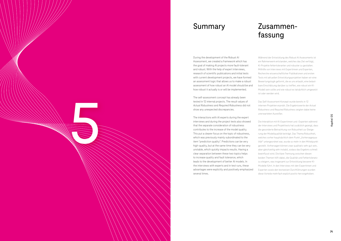<span id="page-35-0"></span>

## Summary Zusammenfassung

Während der Entwicklung des Robust AI Assessments ist ein Rahmenwerk entstanden, welches das Ziel verfolgt, KI-Projekte fehlertoleranter und robuster zu gestalten. Mithilfe von Interviews mit Expertinnen und Experten, Recherche wissenschaftlicher Publikationen und ersten Tests mit aktuellen Entwicklungsprojekten haben wir eine Bewertungslogik geformt, die es uns erlaubt, eine belastbare Einschätzung darüber zu treffen, wie robust ein KI-Modell sein sollte und wie robust es tatsächlich umgesetzt ist oder werden wird.

Das Self-Assessment-Konzept wurde bereits in 12 internen Projekten erprobt. Die Ergebniswerte der *Actual Robustness* und *Required Robustness* zeigten dabei keine unerwarteten Ausreißer.

Die Interaktion mit KI-Expertinnen und -Experten während der Interviews und Projekttests hat zusätzlich gezeigt, dass die gesonderte Betrachtung von Robustheit zur Steigerung der Modellqualität beiträgt. Das Thema Robustheit, welches vorher hauptsächlich dem Punkt "Vorhersagequalität" untergeordnet war, wurde so mehr in den Mittelpunkt gestellt. Vorhersagen können zwar qualitativ sehr gut sein, aber gleichzeitig sehr instabil, sodass das Ergebnis schnell beeinflusst wird. Die klare Trennung zwischen diesen beiden Themen hilft dabei, die Qualität und Fehlertoleranz zu steigern, was insgesamt zur Entwicklung besserer KI-Modelle führt. In den Interviews mit den Expertinnen und Experten sowie den testweisen Durchführungen wurden diese Vorteile mehrfach explizit positiv hervorgehoben.

During the development of the Robust AI Assessment, we created a framework which has the goal of making AI projects more fault-tolerant and robust. With the help of expert interviews, research of scientific publications and initial tests with current development projects, we have formed an assessment logic that allows us to make a robust assessment of how robust an AI model should be and how robust it actually is or will be implemented.

The self-assessment concept has already been tested in 12 internal projects. The result values of *Actual Robustness* and *Required Robustness* did not show any unexpected discrepancies.

The interactions with AI experts during the expert interviews and during the project tests also showed that the separate consideration of robustness contributes to the increase of the model quality. This put a clearer focus on the topic of robustness, which was previously mainly subordinated to the item "prediction quality". Predictions can be very high-quality, but at the same time they can be very unstable, which quickly impacts results. Having a clear separation between these two topics helps to increase quality and fault tolerance, which leads to the development of better AI models. In the interviews with experts and in test runs, these advantages were explicitly and positively emphasized several times.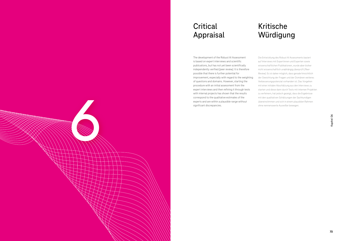<span id="page-36-0"></span>

### **73**

The development of the Robust AI Assessment is based on expert interviews and scientific publications, but has not yet been scientifically independently verified *(peer review)*. It is therefore possible that there is further potential for improvement, especially with regard to the weighting of questions and domains. However, starting the procedure with an initial assessment from the expert interviews and then refining it through tests with internal projects has shown that the results correspond to the qualitative estimates of the experts and are within a plausible range without significant discrepancies.

## **Critical** Appraisal

Die Entwicklung des Robust AI Assessments basiert auf Interviews mit Expertinnen und Experten sowie wissenschaftlichen Publikationen, wurde aber bisher nicht wissenschaftlich unabhängig überprüft *(Peer-Review)*. Es ist daher möglich, dass gerade hinsichtlich der Gewichtung der Fragen und der Domänen weiteres Verbesserungspotenzial vorhanden ist. Das Vorgehen mit einer initialen Abschätzung aus den Interviews zu starten und diese dann durch Tests mit internen Projekten zu verfeinern, hat jedoch gezeigt, dass die Ergebnisse mit den qualitativen Schätzungen der Sachkundigen übereinstimmen und sich in einem plausiblen Rahmen ohne nennenswerte Ausreißer bewegen.

## Kritische Würdigung

Kapitel 06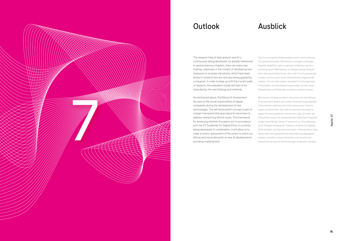<span id="page-37-0"></span>

Das Forschungsfeld Datenanalyse und KI wird kontinuierlich weiterentwickelt. Wie bereits in einigen vorherigen Kapiteln angeführt, gibt es gerade im Rahmen der Entwicklung neuer Maßnahmen zur Steigerung der Robustheit viele neue Erkenntnisse, die in der Forschung erprobt wurden und nun auch durch Unternehmen angewendet werden. Um mit dem jeweils aktuellen Forschungsstand mitzuhalten, wird das Bewertungsmodell um die neuen Erkenntnisse und Methoden erweitert werden müssen.

Wie bereits Anfangs erwähnt, fokussiert sich das Robust AI Assessment darauf, die soziale Verantwortung digitaler Unternehmen während der Entwicklung neuer Technologien zu betrachten. Das Self-Assessment-Konzept ist dabei Teil eines größeren Frameworks, das sich über die Robustheit hinaus mit übergreifenden ethischen Fragestellungen beschäftigt. Dieses Framework zur Einschätzung, ob KI-Projekte entlang der Telekom Leitlinien für digitale Ethik handeln, wird aktuell entwickelt. In Kombination kann damit dann eine ganzheitliche Abschätzung abgegeben werden, inwiefern unsere ethischen und moralischen Ansprüche an neue KI-Entwicklungen umgesetzt werden.

The research field of data analysis and AI is continuously being developed. As already mentioned in several previous chapters, there are many new findings, especially in the context of developing new measures to increase robustness, which have been tested in research and are now also being applied by companies. In order to keep up with the current state of research, the evaluation model will have to be extended by the new findings and methods.

As mentioned above, the Robust AI Assessment focuses on the social responsibility of digital companies during the development of new technologies. The self-assessment concept is part of a larger framework that goes beyond robustness to address overarching ethical issues. This framework for assessing whether AI projects act in accordance with the DT Guidelines for Digital Ethics is currently being developed. In combination, it will allow us to make a holistic assessment of the extent to which our ethical and moral demands on new AI developments are being implemented.

## Outlook Ausblick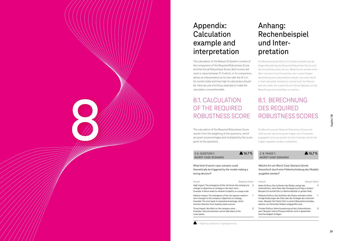<span id="page-38-0"></span>

 E.G. QUESTION 1: WORST-CASE-SCENARIO

What kind of worst-case-scenario could theoretically be triggered by the model making a

wrong decision?

Answer

**16.7 %**

Response Factor

### Z. B. FRAGE 1: WORST-CASE-SZENARIO

Welche Art von Worst-Case-Szenario könnte theoretisch durch eine Fehlentscheidung des Modells ausgelöst werden?



| Antwort-Faktor<br>Antwort                                                                                                                                                                                                                             |   |
|-------------------------------------------------------------------------------------------------------------------------------------------------------------------------------------------------------------------------------------------------------|---|
| Hoher Einfluss: Das Auftreten des Risikos zwingt das<br>Unternehmen, seine Ziele oder Strategie kurzfristig zu ändern.<br>Beispiel: Ein Ausfall führt zu Netzinstabilität im großen Maß.                                                              | 2 |
| Mittlerer Einfluss: Das Auftreten des Risikos erfordert mittel-<br>fristige Änderungen der Ziele oder der Strategie des Unterneh-<br>mens. Beispiel: Der Fehler führt zu einem Reputationsschaden,<br>welcher von führenden Medien aufgegriffen wird. | 1 |
| Trivialer Einfluss: Keine Auswirkung auf den Unternehmens-<br>wert. Beispiel: Interne Prozesse können nicht in gewohnter<br>Geschwindigkeit erfolgen.                                                                                                 |   |

Medium impact: The emergence of the risk requires mediumterm changes to the company's objectives or strategy. Example: The error leads to reputational damage, which receives attention from leading media sources. 1

Trivial impact: No effect on the company value. Example: Internal processes cannot take place at the usual speed.

 $\blacksquare$  = Weighting of questions / Fragengewichtung

High impact: The emergence of the risk forces the company to change its objectives or strategy in the short-term. Example: A failure leads to network instability on a large scale.

2

 $\mathbf{0}$ 

Die Berechnung des Robust AI Systems besteht aus der Gegenüberstellung des Required Robustness Scores und des Actual Robustness Scores. Beide Scores werden einen Wert zwischen 0 und 5 erreichen, der in seiner Gegen überstellung eine Interpretation erlaubt, wie sicher die KI in ihrem aktuellen Zustand ist und wie hoch ihre Robust heit sein sollte. Wir nutzen hier ein fiktives Beispiel, um die Berechnung nachvollziehbar zu machen.

### 8.1. BERECHNUNG DES REQUIRED ROBUSTNESS SCORES

Die Berechnung des Required Robustness Scores ent steht aus der Gewichtung der Fragen, die in Prozenten angegeben sind und werden mit der Punktzahl, die für die Fragen vergeben wurden, multipliziert.

The calculation of the Robust AI System consists of the comparison of the Required Robustness Score and the Actual Robustness Score. Both scores will reach a value between 0 -5 which, in its comparison, allows an interpretation as to how safe the AI is in its current state and how high its robustness should be. Here we use a fictitious example to make the calculation comprehensible.

### 8.1. CALCULATION OF THE REQUIRED ROBUSTNESS SCORE

The calculation of the Required Robustness Score results from the weighting of the questions, which are given as percentages and multiplied by the score given to the questions.

### Appendix: Calculation example and interpretation

### Anhang: Rechenbeispiel und Interpretation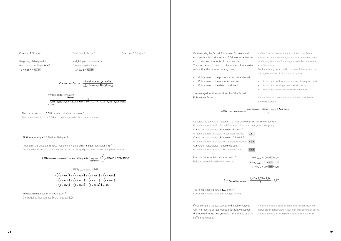Question 1 / Frage 1 and Cuestion 2 / Frage 2 and Cuestion 3 / Frage 3

- Auf der Skala sollte nun der Actual Robustness Score mindestens den Wert von 3,24 erreichen, um sicherstellen zu können, dass die Anforderungen an die Robustheit der KI erfüllt werden.
- Die Berechnung des Actual Robustness Scores variiert nur dahingehend, dass die drei Unterkategorien
- Robustheit des Prozesses rund um die eingesetzte KI,
- Robustheit des eingesetzten KI-Modells und
- Robustheit des verwendeten Datenmodells

für das Gesamtergebnis des Actual Robustness Scores gemittelt werden.

 $Score_{Actual \;Robustness} = \frac{Score_{Process} + Score_{AI \; Model} + Score_{Data}}{3}$ 

 $\mathsf{c}_\mathsf{S}$  as shown above: / ı, wie oben gezeigt:

 $Score_{Process} = 1.3 * 2.67 = 3.47$  $Score_{Al Model} = 0.7 * 4.35 = 3.05$  $Score_{Data} = 0.9 * 3.65 = 3.28$ 

Weighting of the question: /  $2 * 0.167 = 0.334$ 

Weighting of the question: / Gewichtung der Frage: Gewichtung der Frage: ... 0,167 $1 * 0,14 = 0,139$ 

> Maximum target value  $\label{eq:conversion factor} Conversion\,factor = \frac{Maximum\,target\,value}{\sum_{i=1}^{n} Answer_i*Weighting_i}$

Conversion factor Required Robustness

 $=\frac{1}{0,334+0,139+0,194+0,028+0,069+0,097+0,139+0,111+0,111+0,056+0,112}$  $= 3,59$ 

On the scale, the Actual Robustness Score should now reach at least the value of 3.24 to ensure that the robustness requirements of the AI are met. The calculation of the Actual Robustness Score varies only in that the three sub-categories

- Robustness of the process around the AI used
- Robustness of the AI model used and
- Robustness of the data model used

are averaged for the overall result of the Actual Robustness Score

Addition of the evaluation scores that are first multiplied by the question weighting: / Addition der Bewertungspunktzahlen, die mit der Fragengewichtung zuerst multipliziert werden:

 $Score_{Required\ Robustness} = Conversion\ factor\ \mathit{Required}\ \ast \sum_{l=1}^{n} Answer_{i}*Weighting_{i}$ 

 $Score_{Required\ Robustness} = 3,59$ 

$$
\begin{aligned}\n\ast \left( \left( 1 * 0.167 \right) + \left( 0 * 0.139 \right) + \left( 1 * 0.097 \right) + \left( 1 * 0.056 \right) \\
+ \left( 1 * 0.028 \right) + \left( 0 * 0.111 \right) + \left( 1 * 0.111 \right) + \left( 2 * 0.097 \right) \\
+ \left( 1 * 0.069 \right) + \left( 1 * 0.069 \right) + \left( 2 * 0.056 \right) \right) &= 3.24\n\end{aligned}
$$

The conversion factor: 3.59 is used to calculate the score. / Der Umrechnungsfaktor: 3,59 wird genutzt, um den Score auszurechnen.

#### Fictitious example 1 / Fiktives Beispiel 1

The Required Robustness Score is 3.24. / Der Required Robustness Score liegt bei 3,24. Example values with fictitious answers: / Beispielwerte mit fiktiven Antworten:

 $Score_{Actual \, Robustness} = \frac{3,47 + 3,05 + 3,28}{3} = 3,27$ 

| Calculate the conversion factor for the three circle segments |      |  |
|---------------------------------------------------------------|------|--|
| Umrechnungsfaktor für die drei Kreisabschnitte berechnen      |      |  |
| Conversion factor Actual Robustness Process: /                |      |  |
| Umrechnungsfaktor Actual Robustness Prozess:                  | 2,67 |  |
| Conversion factor Actual Robustness KI Model: /               |      |  |
| Umrechnungsfaktor Actual Robustness KI-Modell:                | 4.35 |  |
| Conversion factor Actual Robustness Data: /                   |      |  |
| Umrechnungsfaktor Actual Robustness Data:                     | 3,65 |  |
|                                                               |      |  |

The Actual Robust Score is 3.27 points. / Der Actual Robust Score beträgt 3,27 Punkte.

> Vergleicht man die beiden Scores miteinander, stellt man fest, dass die tatsächliche Robustheit die notwendige leicht übersteigt und die Lösung somit ausreichend robust ist.

If you compare the two scores with each other, you will find that the actual robustness slightly exceeds the required robustness, revealing that the solution is sufficiently robust.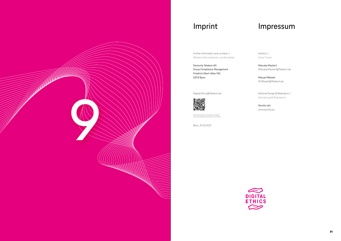<span id="page-40-0"></span>

Manuela Mackert [Manuela.Mackert@Telekom.de](mailto:Manuela.Mackert%40Telekom.de?subject=)

Manuel Mikoleit [M.Mikoleit@Telekom.de](mailto:M.Mikoleit%40Telekom.de?subject=)

Sensity sàrl [www.sensity.eu](http://www.sensity.eu)



Authors: / Autor\*innen:

Further information and contacts: / Weitere Informationen und Kontakte:

Deutsche Telekom AG Group Compliance Management Friedrich-Ebert-Allee 140 53113 Bonn

Bonn, 31.03.2021



### [Digital.Ethics@Telekom.de](mailto:Digital.Ethics%40Telekom.de?subject=)



https://www.telekom.com/de/konzern/digitale-[verantwortung/ethische-ki-leitlinien-der-telekom](https://www.telekom.com/de/konzern/digitale-verantwortung/ethische-ki-leitlinien-der-telekom)

Editorial Design & Realization: / Gestaltung & Realisation:

## Imprint Impressum